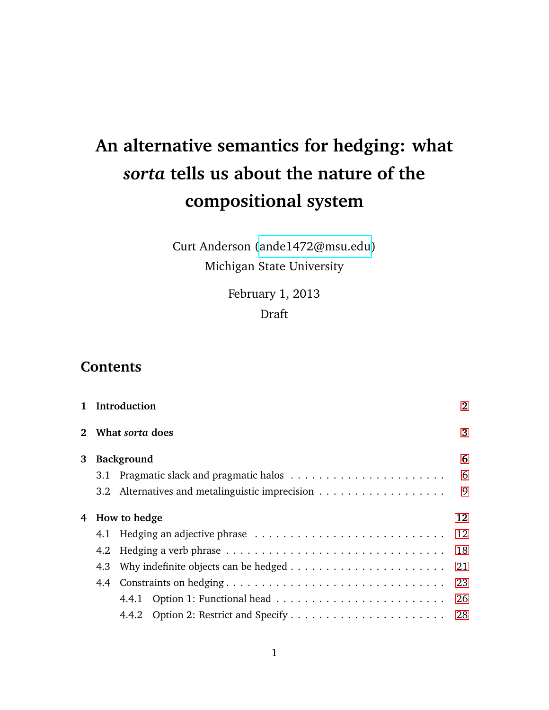# <span id="page-0-0"></span>**An alternative semantics for hedging: what** *sorta* **tells us about the nature of the compositional system**

## Curt Anderson [\(ande1472@msu.edu\)](mailto:ande1472@msu.edu) Michigan State University

February 1, 2013 Draft

## **Contents**

|   |     | 1 Introduction    | $\bf{2}$ |
|---|-----|-------------------|----------|
|   |     | 2 What sorta does | 3        |
| 3 |     | <b>Background</b> | 6        |
|   |     |                   | 6        |
|   | 3.2 |                   | 9        |
| 4 |     | How to hedge      | 12       |
|   |     |                   | 12       |
|   |     |                   | 18       |
|   |     |                   | 21       |
|   |     |                   | 23       |
|   |     | 4.4.1             | 26       |
|   |     |                   |          |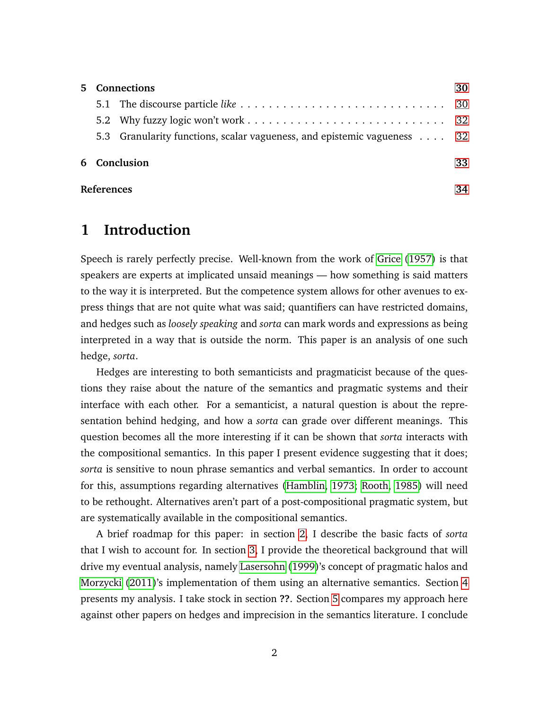|              | 5 Connections |                                                                         | 30 |  |
|--------------|---------------|-------------------------------------------------------------------------|----|--|
|              |               |                                                                         |    |  |
|              |               |                                                                         |    |  |
|              |               | 5.3 Granularity functions, scalar vagueness, and epistemic vagueness 32 |    |  |
| 6 Conclusion |               |                                                                         | 33 |  |
|              | References    |                                                                         |    |  |

## <span id="page-1-0"></span>**1 Introduction**

Speech is rarely perfectly precise. Well-known from the work of [Grice](#page-33-0) [\(1957\)](#page-33-0) is that speakers are experts at implicated unsaid meanings — how something is said matters to the way it is interpreted. But the competence system allows for other avenues to express things that are not quite what was said; quantifiers can have restricted domains, and hedges such as *loosely speaking* and *sorta* can mark words and expressions as being interpreted in a way that is outside the norm. This paper is an analysis of one such hedge, *sorta*.

Hedges are interesting to both semanticists and pragmaticist because of the questions they raise about the nature of the semantics and pragmatic systems and their interface with each other. For a semanticist, a natural question is about the representation behind hedging, and how a *sorta* can grade over different meanings. This question becomes all the more interesting if it can be shown that *sorta* interacts with the compositional semantics. In this paper I present evidence suggesting that it does; *sorta* is sensitive to noun phrase semantics and verbal semantics. In order to account for this, assumptions regarding alternatives [\(Hamblin, 1973;](#page-33-1) [Rooth, 1985\)](#page-34-0) will need to be rethought. Alternatives aren't part of a post-compositional pragmatic system, but are systematically available in the compositional semantics.

A brief roadmap for this paper: in section [2,](#page-2-0) I describe the basic facts of *sorta* that I wish to account for. In section [3,](#page-5-0) I provide the theoretical background that will drive my eventual analysis, namely [Lasersohn](#page-34-1) [\(1999\)](#page-34-1)'s concept of pragmatic halos and [Morzycki](#page-34-2) [\(2011\)](#page-34-2)'s implementation of them using an alternative semantics. Section [4](#page-11-0) presents my analysis. I take stock in section **??**. Section [5](#page-29-0) compares my approach here against other papers on hedges and imprecision in the semantics literature. I conclude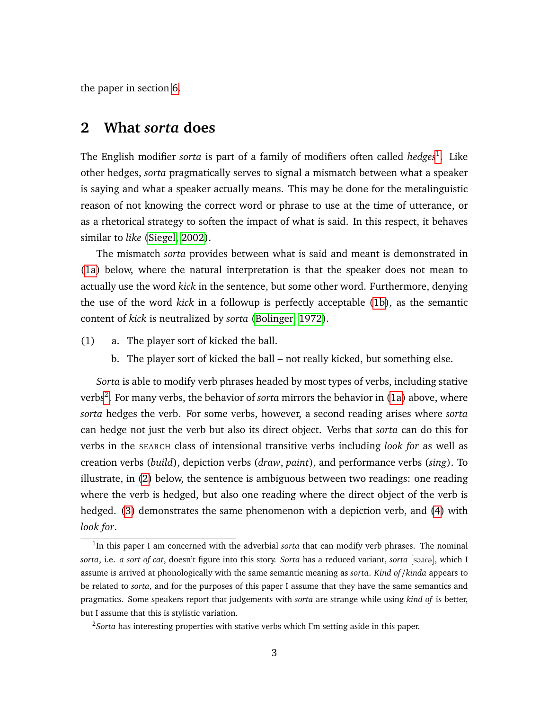<span id="page-2-0"></span>the paper in section [6.](#page-32-0)

#### **2 What** *sorta* **does**

The English modifier *sorta* is part of a family of modifiers often called *hedges*<sup>[1](#page-0-0)</sup>. Like other hedges, *sorta* pragmatically serves to signal a mismatch between what a speaker is saying and what a speaker actually means. This may be done for the metalinguistic reason of not knowing the correct word or phrase to use at the time of utterance, or as a rhetorical strategy to soften the impact of what is said. In this respect, it behaves similar to *like* [\(Siegel, 2002\)](#page-35-0).

The mismatch *sorta* provides between what is said and meant is demonstrated in [\(1a\)](#page-2-1) below, where the natural interpretation is that the speaker does not mean to actually use the word *kick* in the sentence, but some other word. Furthermore, denying the use of the word *kick* in a followup is perfectly acceptable [\(1b\)](#page-2-2), as the semantic content of *kick* is neutralized by *sorta* [\(Bolinger, 1972\)](#page-33-2).

- <span id="page-2-2"></span><span id="page-2-1"></span>(1) a. The player sort of kicked the ball.
	- b. The player sort of kicked the ball not really kicked, but something else.

*Sorta* is able to modify verb phrases headed by most types of verbs, including stative verbs<sup>[2](#page-0-0)</sup>. For many verbs, the behavior of *sorta* mirrors the behavior in [\(1a\)](#page-2-1) above, where *sorta* hedges the verb. For some verbs, however, a second reading arises where *sorta* can hedge not just the verb but also its direct object. Verbs that *sorta* can do this for verbs in the SEARCH class of intensional transitive verbs including *look for* as well as creation verbs (*build*), depiction verbs (*draw*, *paint*), and performance verbs (*sing*). To illustrate, in [\(2\)](#page-3-0) below, the sentence is ambiguous between two readings: one reading where the verb is hedged, but also one reading where the direct object of the verb is hedged. [\(3\)](#page-3-1) demonstrates the same phenomenon with a depiction verb, and [\(4\)](#page-3-2) with *look for*.

<sup>&</sup>lt;sup>1</sup>In this paper I am concerned with the adverbial *sorta* that can modify verb phrases. The nominal *sorta*, i.e. *a sort of cat*, doesn't figure into this story. *Sorta* has a reduced variant, *sorta* [sone], which I assume is arrived at phonologically with the same semantic meaning as *sorta*. *Kind of*/*kinda* appears to be related to *sorta*, and for the purposes of this paper I assume that they have the same semantics and pragmatics. Some speakers report that judgements with *sorta* are strange while using *kind of* is better, but I assume that this is stylistic variation.

<sup>&</sup>lt;sup>2</sup>Sorta has interesting properties with stative verbs which I'm setting aside in this paper.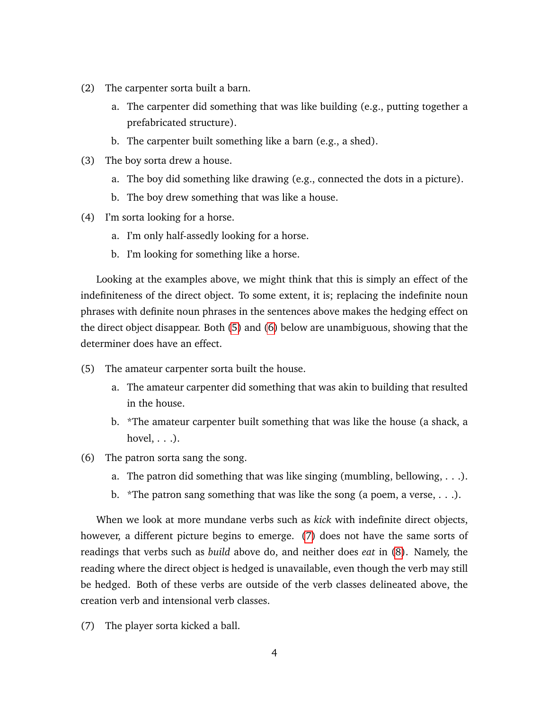- <span id="page-3-0"></span>(2) The carpenter sorta built a barn.
	- a. The carpenter did something that was like building (e.g., putting together a prefabricated structure).
	- b. The carpenter built something like a barn (e.g., a shed).
- <span id="page-3-1"></span>(3) The boy sorta drew a house.
	- a. The boy did something like drawing (e.g., connected the dots in a picture).
	- b. The boy drew something that was like a house.
- <span id="page-3-2"></span>(4) I'm sorta looking for a horse.
	- a. I'm only half-assedly looking for a horse.
	- b. I'm looking for something like a horse.

Looking at the examples above, we might think that this is simply an effect of the indefiniteness of the direct object. To some extent, it is; replacing the indefinite noun phrases with definite noun phrases in the sentences above makes the hedging effect on the direct object disappear. Both [\(5\)](#page-3-3) and [\(6\)](#page-3-4) below are unambiguous, showing that the determiner does have an effect.

- <span id="page-3-3"></span>(5) The amateur carpenter sorta built the house.
	- a. The amateur carpenter did something that was akin to building that resulted in the house.
	- b. \*The amateur carpenter built something that was like the house (a shack, a hovel,  $\ldots$ ).
- <span id="page-3-4"></span>(6) The patron sorta sang the song.
	- a. The patron did something that was like singing (mumbling, bellowing, . . .).
	- b. \*The patron sang something that was like the song (a poem, a verse,  $\dots$ ).

When we look at more mundane verbs such as *kick* with indefinite direct objects, however, a different picture begins to emerge. [\(7\)](#page-3-5) does not have the same sorts of readings that verbs such as *build* above do, and neither does *eat* in [\(8\)](#page-4-0). Namely, the reading where the direct object is hedged is unavailable, even though the verb may still be hedged. Both of these verbs are outside of the verb classes delineated above, the creation verb and intensional verb classes.

<span id="page-3-5"></span>(7) The player sorta kicked a ball.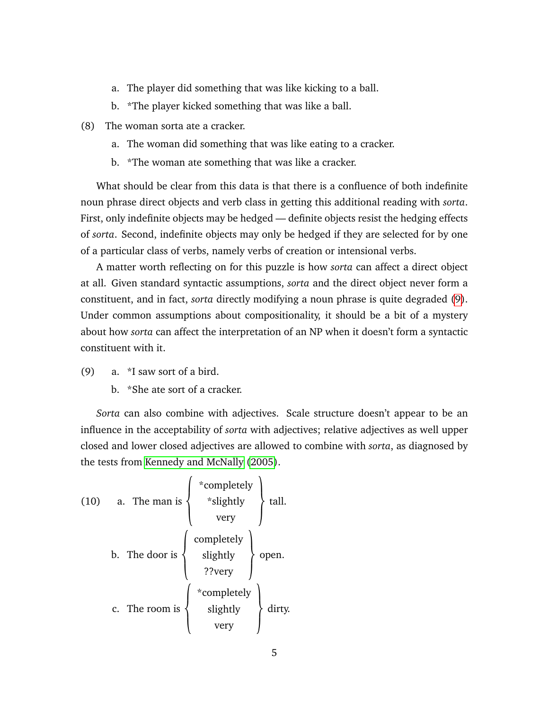- a. The player did something that was like kicking to a ball.
- b. \*The player kicked something that was like a ball.
- <span id="page-4-0"></span>(8) The woman sorta ate a cracker.
	- a. The woman did something that was like eating to a cracker.
	- b. \*The woman ate something that was like a cracker.

What should be clear from this data is that there is a confluence of both indefinite noun phrase direct objects and verb class in getting this additional reading with *sorta*. First, only indefinite objects may be hedged — definite objects resist the hedging effects of *sorta*. Second, indefinite objects may only be hedged if they are selected for by one of a particular class of verbs, namely verbs of creation or intensional verbs.

A matter worth reflecting on for this puzzle is how *sorta* can affect a direct object at all. Given standard syntactic assumptions, *sorta* and the direct object never form a constituent, and in fact, *sorta* directly modifying a noun phrase is quite degraded [\(9\)](#page-4-1). Under common assumptions about compositionality, it should be a bit of a mystery about how *sorta* can affect the interpretation of an NP when it doesn't form a syntactic constituent with it.

- <span id="page-4-1"></span>(9) a. \*I saw sort of a bird.
	- b. \*She ate sort of a cracker.

*Sorta* can also combine with adjectives. Scale structure doesn't appear to be an influence in the acceptability of *sorta* with adjectives; relative adjectives as well upper closed and lower closed adjectives are allowed to combine with *sorta*, as diagnosed by the tests from [Kennedy and McNally](#page-34-3) [\(2005\)](#page-34-3).

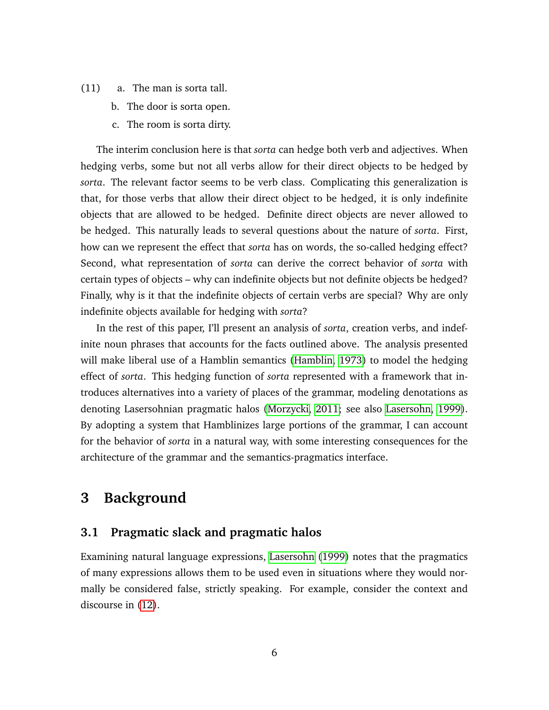- (11) a. The man is sorta tall.
	- b. The door is sorta open.
	- c. The room is sorta dirty.

The interim conclusion here is that *sorta* can hedge both verb and adjectives. When hedging verbs, some but not all verbs allow for their direct objects to be hedged by *sorta*. The relevant factor seems to be verb class. Complicating this generalization is that, for those verbs that allow their direct object to be hedged, it is only indefinite objects that are allowed to be hedged. Definite direct objects are never allowed to be hedged. This naturally leads to several questions about the nature of *sorta*. First, how can we represent the effect that *sorta* has on words, the so-called hedging effect? Second, what representation of *sorta* can derive the correct behavior of *sorta* with certain types of objects – why can indefinite objects but not definite objects be hedged? Finally, why is it that the indefinite objects of certain verbs are special? Why are only indefinite objects available for hedging with *sorta*?

In the rest of this paper, I'll present an analysis of *sorta*, creation verbs, and indefinite noun phrases that accounts for the facts outlined above. The analysis presented will make liberal use of a Hamblin semantics [\(Hamblin, 1973\)](#page-33-1) to model the hedging effect of *sorta*. This hedging function of *sorta* represented with a framework that introduces alternatives into a variety of places of the grammar, modeling denotations as denoting Lasersohnian pragmatic halos [\(Morzycki, 2011;](#page-34-2) see also [Lasersohn, 1999\)](#page-34-1). By adopting a system that Hamblinizes large portions of the grammar, I can account for the behavior of *sorta* in a natural way, with some interesting consequences for the architecture of the grammar and the semantics-pragmatics interface.

## <span id="page-5-0"></span>**3 Background**

#### <span id="page-5-1"></span>**3.1 Pragmatic slack and pragmatic halos**

<span id="page-5-2"></span>Examining natural language expressions, [Lasersohn](#page-34-1) [\(1999\)](#page-34-1) notes that the pragmatics of many expressions allows them to be used even in situations where they would normally be considered false, strictly speaking. For example, consider the context and discourse in [\(12\)](#page-5-2).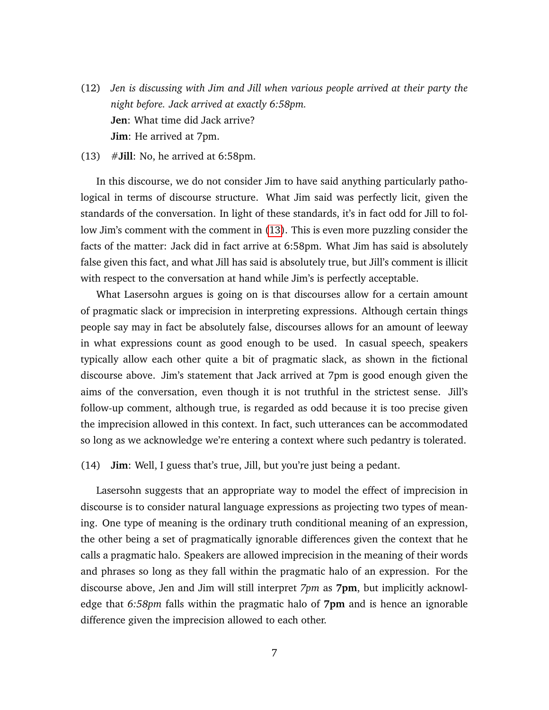- (12) *Jen is discussing with Jim and Jill when various people arrived at their party the night before. Jack arrived at exactly 6:58pm.* **Jen**: What time did Jack arrive? **Jim**: He arrived at 7pm.
- <span id="page-6-0"></span>(13) #**Jill**: No, he arrived at 6:58pm.

In this discourse, we do not consider Jim to have said anything particularly pathological in terms of discourse structure. What Jim said was perfectly licit, given the standards of the conversation. In light of these standards, it's in fact odd for Jill to follow Jim's comment with the comment in [\(13\)](#page-6-0). This is even more puzzling consider the facts of the matter: Jack did in fact arrive at 6:58pm. What Jim has said is absolutely false given this fact, and what Jill has said is absolutely true, but Jill's comment is illicit with respect to the conversation at hand while Jim's is perfectly acceptable.

What Lasersohn argues is going on is that discourses allow for a certain amount of pragmatic slack or imprecision in interpreting expressions. Although certain things people say may in fact be absolutely false, discourses allows for an amount of leeway in what expressions count as good enough to be used. In casual speech, speakers typically allow each other quite a bit of pragmatic slack, as shown in the fictional discourse above. Jim's statement that Jack arrived at 7pm is good enough given the aims of the conversation, even though it is not truthful in the strictest sense. Jill's follow-up comment, although true, is regarded as odd because it is too precise given the imprecision allowed in this context. In fact, such utterances can be accommodated so long as we acknowledge we're entering a context where such pedantry is tolerated.

(14) **Jim**: Well, I guess that's true, Jill, but you're just being a pedant.

Lasersohn suggests that an appropriate way to model the effect of imprecision in discourse is to consider natural language expressions as projecting two types of meaning. One type of meaning is the ordinary truth conditional meaning of an expression, the other being a set of pragmatically ignorable differences given the context that he calls a pragmatic halo. Speakers are allowed imprecision in the meaning of their words and phrases so long as they fall within the pragmatic halo of an expression. For the discourse above, Jen and Jim will still interpret *7pm* as **7pm**, but implicitly acknowledge that *6:58pm* falls within the pragmatic halo of **7pm** and is hence an ignorable difference given the imprecision allowed to each other.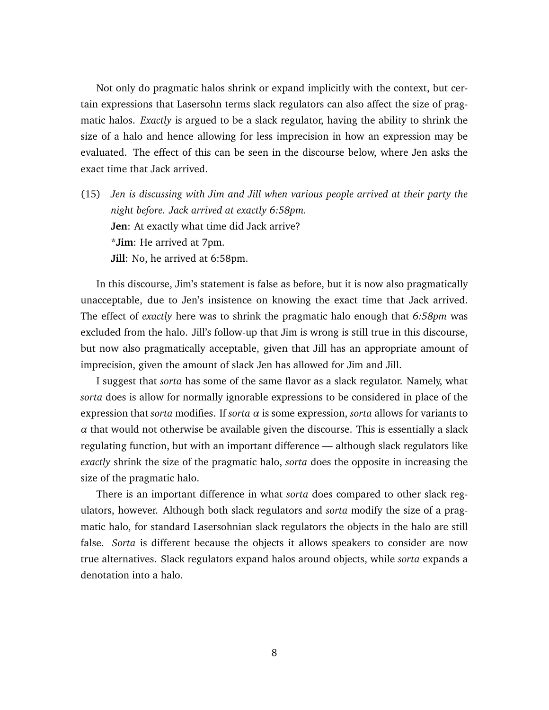Not only do pragmatic halos shrink or expand implicitly with the context, but certain expressions that Lasersohn terms slack regulators can also affect the size of pragmatic halos. *Exactly* is argued to be a slack regulator, having the ability to shrink the size of a halo and hence allowing for less imprecision in how an expression may be evaluated. The effect of this can be seen in the discourse below, where Jen asks the exact time that Jack arrived.

(15) *Jen is discussing with Jim and Jill when various people arrived at their party the night before. Jack arrived at exactly 6:58pm.* **Jen**: At exactly what time did Jack arrive? \***Jim**: He arrived at 7pm. **Jill**: No, he arrived at 6:58pm.

In this discourse, Jim's statement is false as before, but it is now also pragmatically unacceptable, due to Jen's insistence on knowing the exact time that Jack arrived. The effect of *exactly* here was to shrink the pragmatic halo enough that *6:58pm* was excluded from the halo. Jill's follow-up that Jim is wrong is still true in this discourse, but now also pragmatically acceptable, given that Jill has an appropriate amount of imprecision, given the amount of slack Jen has allowed for Jim and Jill.

I suggest that *sorta* has some of the same flavor as a slack regulator. Namely, what *sorta* does is allow for normally ignorable expressions to be considered in place of the expression that *sorta* modifies. If *sorta α* is some expression, *sorta* allows for variants to  $\alpha$  that would not otherwise be available given the discourse. This is essentially a slack regulating function, but with an important difference — although slack regulators like *exactly* shrink the size of the pragmatic halo, *sorta* does the opposite in increasing the size of the pragmatic halo.

<span id="page-7-0"></span>There is an important difference in what *sorta* does compared to other slack regulators, however. Although both slack regulators and *sorta* modify the size of a pragmatic halo, for standard Lasersohnian slack regulators the objects in the halo are still false. *Sorta* is different because the objects it allows speakers to consider are now true alternatives. Slack regulators expand halos around objects, while *sorta* expands a denotation into a halo.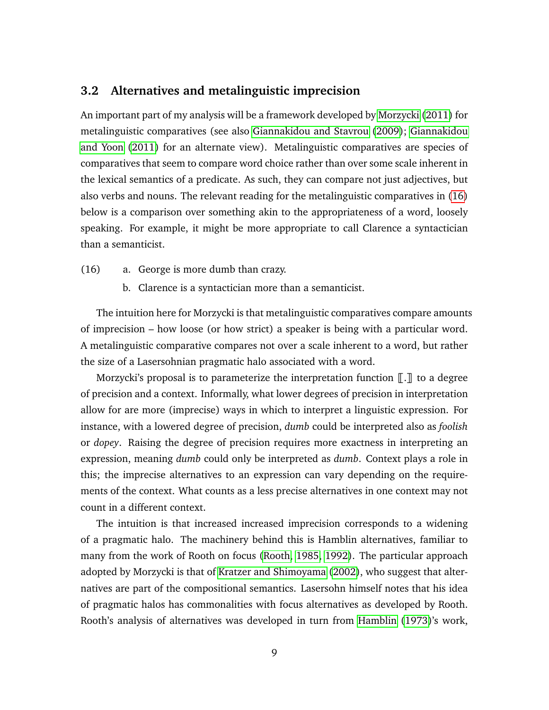#### **3.2 Alternatives and metalinguistic imprecision**

An important part of my analysis will be a framework developed by [Morzycki](#page-34-2) [\(2011\)](#page-34-2) for metalinguistic comparatives (see also [Giannakidou and Stavrou](#page-33-3) [\(2009\)](#page-33-3); [Giannakidou](#page-33-4) [and Yoon](#page-33-4) [\(2011\)](#page-33-4) for an alternate view). Metalinguistic comparatives are species of comparatives that seem to compare word choice rather than over some scale inherent in the lexical semantics of a predicate. As such, they can compare not just adjectives, but also verbs and nouns. The relevant reading for the metalinguistic comparatives in [\(16\)](#page-8-0) below is a comparison over something akin to the appropriateness of a word, loosely speaking. For example, it might be more appropriate to call Clarence a syntactician than a semanticist.

- <span id="page-8-0"></span>(16) a. George is more dumb than crazy.
	- b. Clarence is a syntactician more than a semanticist.

The intuition here for Morzycki is that metalinguistic comparatives compare amounts of imprecision – how loose (or how strict) a speaker is being with a particular word. A metalinguistic comparative compares not over a scale inherent to a word, but rather the size of a Lasersohnian pragmatic halo associated with a word.

Morzycki's proposal is to parameterize the interpretation function  $\llbracket . \rrbracket$  to a degree of precision and a context. Informally, what lower degrees of precision in interpretation allow for are more (imprecise) ways in which to interpret a linguistic expression. For instance, with a lowered degree of precision, *dumb* could be interpreted also as *foolish* or *dopey*. Raising the degree of precision requires more exactness in interpreting an expression, meaning *dumb* could only be interpreted as *dumb*. Context plays a role in this; the imprecise alternatives to an expression can vary depending on the requirements of the context. What counts as a less precise alternatives in one context may not count in a different context.

The intuition is that increased increased imprecision corresponds to a widening of a pragmatic halo. The machinery behind this is Hamblin alternatives, familiar to many from the work of Rooth on focus [\(Rooth, 1985,](#page-34-0) [1992\)](#page-35-1). The particular approach adopted by Morzycki is that of [Kratzer and Shimoyama](#page-34-4) [\(2002\)](#page-34-4), who suggest that alternatives are part of the compositional semantics. Lasersohn himself notes that his idea of pragmatic halos has commonalities with focus alternatives as developed by Rooth. Rooth's analysis of alternatives was developed in turn from [Hamblin](#page-33-1) [\(1973\)](#page-33-1)'s work,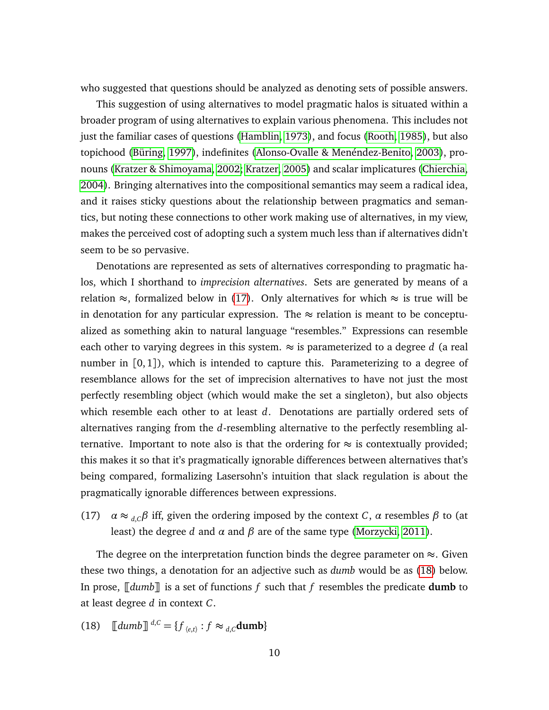who suggested that questions should be analyzed as denoting sets of possible answers.

This suggestion of using alternatives to model pragmatic halos is situated within a broader program of using alternatives to explain various phenomena. This includes not just the familiar cases of questions [\(Hamblin, 1973\)](#page-33-1), and focus [\(Rooth, 1985\)](#page-34-0), but also topichood [\(Büring, 1997\)](#page-33-5), indefinites [\(Alonso-Ovalle & Menéndez-Benito, 2003\)](#page-33-6), pronouns [\(Kratzer & Shimoyama, 2002;](#page-34-4) [Kratzer, 2005\)](#page-34-5) and scalar implicatures [\(Chierchia,](#page-33-7) [2004\)](#page-33-7). Bringing alternatives into the compositional semantics may seem a radical idea, and it raises sticky questions about the relationship between pragmatics and semantics, but noting these connections to other work making use of alternatives, in my view, makes the perceived cost of adopting such a system much less than if alternatives didn't seem to be so pervasive.

Denotations are represented as sets of alternatives corresponding to pragmatic halos, which I shorthand to *imprecision alternatives*. Sets are generated by means of a relation  $\approx$ , formalized below in [\(17\)](#page-9-0). Only alternatives for which  $\approx$  is true will be in denotation for any particular expression. The  $\approx$  relation is meant to be conceptualized as something akin to natural language "resembles." Expressions can resemble each other to varying degrees in this system.  $\approx$  is parameterized to a degree d (a real number in  $[0, 1]$ , which is intended to capture this. Parameterizing to a degree of resemblance allows for the set of imprecision alternatives to have not just the most perfectly resembling object (which would make the set a singleton), but also objects which resemble each other to at least *d*. Denotations are partially ordered sets of alternatives ranging from the *d*-resembling alternative to the perfectly resembling alternative. Important to note also is that the ordering for  $\approx$  is contextually provided; this makes it so that it's pragmatically ignorable differences between alternatives that's being compared, formalizing Lasersohn's intuition that slack regulation is about the pragmatically ignorable differences between expressions.

<span id="page-9-0"></span>(17)  $\alpha \approx_{d,C} \beta$  iff, given the ordering imposed by the context *C*,  $\alpha$  resembles  $\beta$  to (at least) the degree *d* and *α* and *β* are of the same type [\(Morzycki, 2011\)](#page-34-2).

The degree on the interpretation function binds the degree parameter on  $\approx$ . Given these two things, a denotation for an adjective such as *dumb* would be as [\(18\)](#page-9-1) below. In prose,  $\llbracket \text{dumb} \rrbracket$  is a set of functions *f* such that *f* resembles the predicate **dumb** to at least degree *d* in context *C*.

<span id="page-9-1"></span>(18) 
$$
\llbracket \text{dumb} \rrbracket^{d,C} = \{ f_{\langle e,t \rangle} : f \approx_{d,C} \text{dumb} \}
$$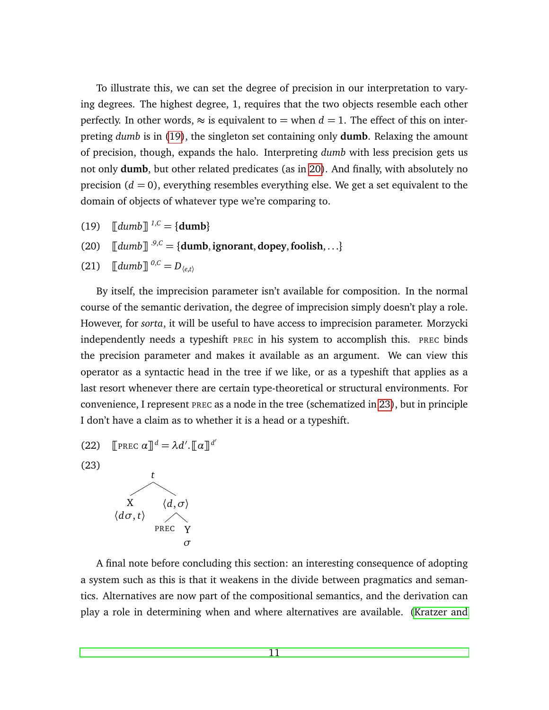To illustrate this, we can set the degree of precision in our interpretation to varying degrees. The highest degree, 1, requires that the two objects resemble each other perfectly. In other words,  $\approx$  is equivalent to = when  $d = 1$ . The effect of this on interpreting *dumb* is in [\(19\)](#page-10-0), the singleton set containing only **dumb**. Relaxing the amount of precision, though, expands the halo. Interpreting *dumb* with less precision gets us not only **dumb**, but other related predicates (as in [20\)](#page-10-1). And finally, with absolutely no precision  $(d = 0)$ , everything resembles everything else. We get a set equivalent to the domain of objects of whatever type we're comparing to.

- <span id="page-10-0"></span> $(19)$   $\left[\frac{dumb}{\left|}\right]^{1,C} = \{dumb\}$
- <span id="page-10-1"></span> $\llbracket$  (20)  $\llbracket$   $\llbracket$  dumb $\rrbracket$   $\cdot^{9,0}$  = {**dumb**, **ignorant**, **dopey**, **foolish**, . . .}
- (21)  $\left[ \frac{dumb \cdot 0}{0.6} \right] = D_{\langle e, t \rangle}$

By itself, the imprecision parameter isn't available for composition. In the normal course of the semantic derivation, the degree of imprecision simply doesn't play a role. However, for *sorta*, it will be useful to have access to imprecision parameter. Morzycki independently needs a typeshift PREC in his system to accomplish this. PREC binds the precision parameter and makes it available as an argument. We can view this operator as a syntactic head in the tree if we like, or as a typeshift that applies as a last resort whenever there are certain type-theoretical or structural environments. For convenience, I represent PREC as a node in the tree (schematized in [23\)](#page-10-2), but in principle I don't have a claim as to whether it is a head or a typeshift.

(22) 
$$
\llbracket \text{PREC } \alpha \rrbracket^d = \lambda d'. \llbracket \alpha \rrbracket^{d'}
$$

<span id="page-10-2"></span>(23)



A final note before concluding this section: an interesting consequence of adopting a system such as this is that it weakens in the divide between pragmatics and semantics. Alternatives are now part of the compositional semantics, and the derivation can play a role in determining when and where alternatives are available. [\(Kratzer and](#page-34-4)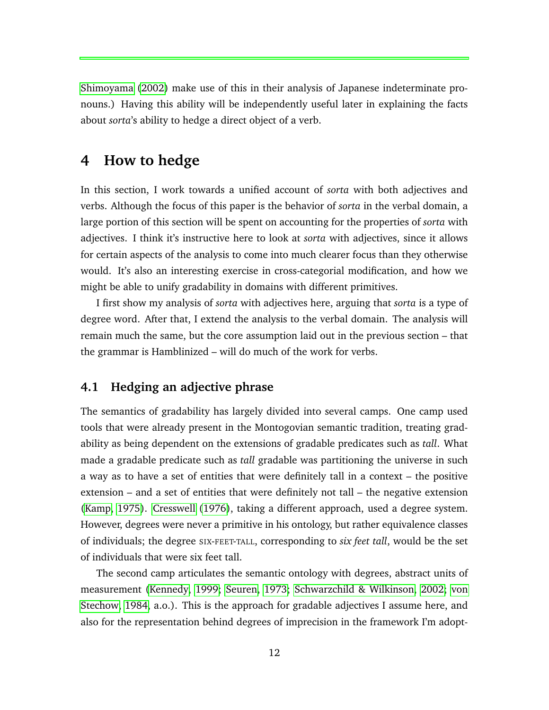[Shimoyama](#page-34-4) [\(2002\)](#page-34-4) make use of this in their analysis of Japanese indeterminate pronouns.) Having this ability will be independently useful later in explaining the facts about *sorta*'s ability to hedge a direct object of a verb.

## <span id="page-11-0"></span>**4 How to hedge**

In this section, I work towards a unified account of *sorta* with both adjectives and verbs. Although the focus of this paper is the behavior of *sorta* in the verbal domain, a large portion of this section will be spent on accounting for the properties of *sorta* with adjectives. I think it's instructive here to look at *sorta* with adjectives, since it allows for certain aspects of the analysis to come into much clearer focus than they otherwise would. It's also an interesting exercise in cross-categorial modification, and how we might be able to unify gradability in domains with different primitives.

I first show my analysis of *sorta* with adjectives here, arguing that *sorta* is a type of degree word. After that, I extend the analysis to the verbal domain. The analysis will remain much the same, but the core assumption laid out in the previous section – that the grammar is Hamblinized – will do much of the work for verbs.

#### <span id="page-11-1"></span>**4.1 Hedging an adjective phrase**

The semantics of gradability has largely divided into several camps. One camp used tools that were already present in the Montogovian semantic tradition, treating gradability as being dependent on the extensions of gradable predicates such as *tall*. What made a gradable predicate such as *tall* gradable was partitioning the universe in such a way as to have a set of entities that were definitely tall in a context – the positive extension – and a set of entities that were definitely not tall – the negative extension [\(Kamp, 1975\)](#page-34-6). [Cresswell](#page-33-8) [\(1976\)](#page-33-8), taking a different approach, used a degree system. However, degrees were never a primitive in his ontology, but rather equivalence classes of individuals; the degree SIX-FEET-TALL, corresponding to *six feet tall*, would be the set of individuals that were six feet tall.

The second camp articulates the semantic ontology with degrees, abstract units of measurement [\(Kennedy, 1999;](#page-34-7) [Seuren, 1973;](#page-35-2) [Schwarzchild & Wilkinson, 2002;](#page-35-3) [von](#page-35-4) [Stechow, 1984,](#page-35-4) a.o.). This is the approach for gradable adjectives I assume here, and also for the representation behind degrees of imprecision in the framework I'm adopt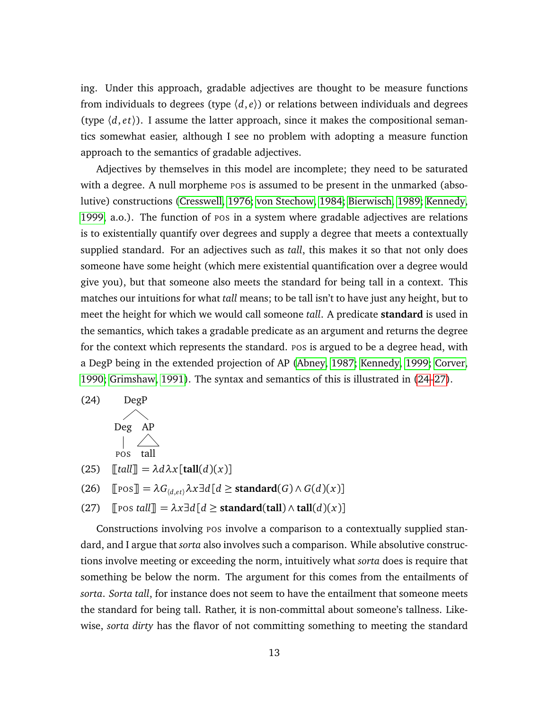ing. Under this approach, gradable adjectives are thought to be measure functions from individuals to degrees (type  $(d, e)$ ) or relations between individuals and degrees (type  $\langle d, et \rangle$ ). I assume the latter approach, since it makes the compositional semantics somewhat easier, although I see no problem with adopting a measure function approach to the semantics of gradable adjectives.

Adjectives by themselves in this model are incomplete; they need to be saturated with a degree. A null morpheme pos is assumed to be present in the unmarked (absolutive) constructions [\(Cresswell, 1976;](#page-33-8) [von Stechow, 1984;](#page-35-4) [Bierwisch, 1989;](#page-33-9) [Kennedy,](#page-34-7) [1999,](#page-34-7) a.o.). The function of POS in a system where gradable adjectives are relations is to existentially quantify over degrees and supply a degree that meets a contextually supplied standard. For an adjectives such as *tall*, this makes it so that not only does someone have some height (which mere existential quantification over a degree would give you), but that someone also meets the standard for being tall in a context. This matches our intuitions for what *tall* means; to be tall isn't to have just any height, but to meet the height for which we would call someone *tall*. A predicate **standard** is used in the semantics, which takes a gradable predicate as an argument and returns the degree for the context which represents the standard. Pos is argued to be a degree head, with a DegP being in the extended projection of AP [\(Abney, 1987;](#page-33-10) [Kennedy, 1999;](#page-34-7) [Corver,](#page-33-11) [1990;](#page-33-11) [Grimshaw, 1991\)](#page-33-12). The syntax and semantics of this is illustrated in [\(24–](#page-12-0)[27\)](#page-12-1).

<span id="page-12-0"></span>
$$
(24) \tDegPDeg APlog APpos tall
$$

 $(25)$   $\left[\left[\text{tall}\right] = \lambda d\lambda x \right]$  $\left[\text{tall}(d)(x)\right]$ 

 $(26)$   $[Pos] = \lambda G_{(d,et)} \lambda x \exists d [d \geq \text{standard}(G) \wedge G(d)(x)]$ 

<span id="page-12-1"></span> $(27)$   $\lceil \text{pos tall} \rceil = \lambda x \exists d \lceil d \ge \text{standard}(\text{tall}) \wedge \text{tall}(d)(x) \rceil$ 

Constructions involving POS involve a comparison to a contextually supplied standard, and I argue that *sorta* also involves such a comparison. While absolutive constructions involve meeting or exceeding the norm, intuitively what *sorta* does is require that something be below the norm. The argument for this comes from the entailments of *sorta*. *Sorta tall*, for instance does not seem to have the entailment that someone meets the standard for being tall. Rather, it is non-committal about someone's tallness. Likewise, *sorta dirty* has the flavor of not committing something to meeting the standard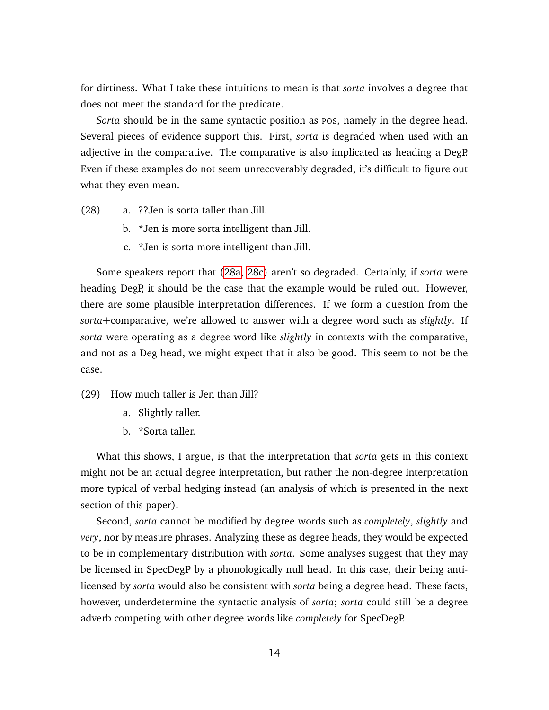for dirtiness. What I take these intuitions to mean is that *sorta* involves a degree that does not meet the standard for the predicate.

*Sorta* should be in the same syntactic position as pos, namely in the degree head. Several pieces of evidence support this. First, *sorta* is degraded when used with an adjective in the comparative. The comparative is also implicated as heading a DegP. Even if these examples do not seem unrecoverably degraded, it's difficult to figure out what they even mean.

- <span id="page-13-1"></span><span id="page-13-0"></span>(28) a. ??Jen is sorta taller than Jill.
	- b. \*Jen is more sorta intelligent than Jill.
	- c. \*Jen is sorta more intelligent than Jill.

Some speakers report that [\(28a,](#page-13-0) [28c\)](#page-13-1) aren't so degraded. Certainly, if *sorta* were heading DegP, it should be the case that the example would be ruled out. However, there are some plausible interpretation differences. If we form a question from the *sorta*+comparative, we're allowed to answer with a degree word such as *slightly*. If *sorta* were operating as a degree word like *slightly* in contexts with the comparative, and not as a Deg head, we might expect that it also be good. This seem to not be the case.

- (29) How much taller is Jen than Jill?
	- a. Slightly taller.
	- b. \*Sorta taller.

What this shows, I argue, is that the interpretation that *sorta* gets in this context might not be an actual degree interpretation, but rather the non-degree interpretation more typical of verbal hedging instead (an analysis of which is presented in the next section of this paper).

Second, *sorta* cannot be modified by degree words such as *completely*, *slightly* and *very*, nor by measure phrases. Analyzing these as degree heads, they would be expected to be in complementary distribution with *sorta*. Some analyses suggest that they may be licensed in SpecDegP by a phonologically null head. In this case, their being antilicensed by *sorta* would also be consistent with *sorta* being a degree head. These facts, however, underdetermine the syntactic analysis of *sorta*; *sorta* could still be a degree adverb competing with other degree words like *completely* for SpecDegP.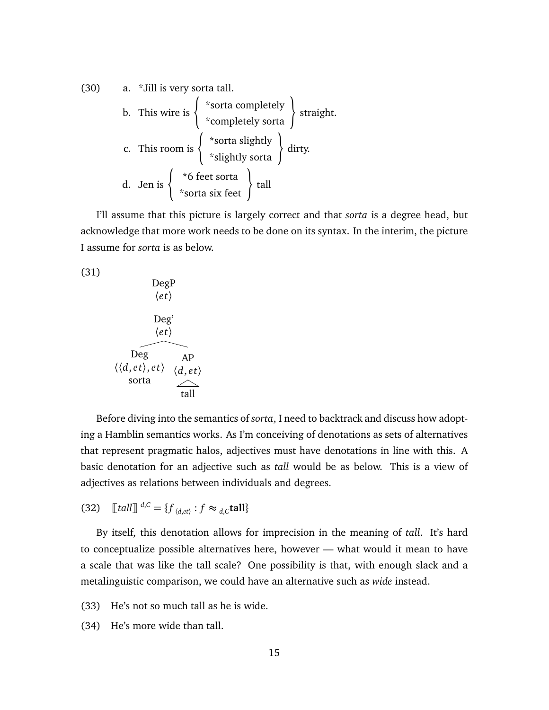(30) a. \*Jill is very sort a tall.

\nb. This wire is 
$$
\left\{\begin{array}{c}\n\text{*sorta completely sorta} \\
\text{*completely sorta}\n\end{array}\right\}
$$
 straight.

\nc. This room is  $\left\{\begin{array}{c}\n\text{*sorta slightly} \\
\text{*slightly sorta}\n\end{array}\right\}$  dirty.

\nd. Jen is  $\left\{\begin{array}{c}\n\text{*6 feet sorta} \\
\text{*sorta six feet}\n\end{array}\right\}$  tall

I'll assume that this picture is largely correct and that *sorta* is a degree head, but acknowledge that more work needs to be done on its syntax. In the interim, the picture I assume for *sorta* is as below.

$$
(31)
$$

| DegP                    |                         |
|-------------------------|-------------------------|
| $\langle et \rangle$    |                         |
| $\log'$                 |                         |
| $\langle et \rangle$    |                         |
| $\log$                  | AP                      |
| $\langle d, et \rangle$ | $\langle d, et \rangle$ |
| $\text{sorta}$          |                         |
| $\land$                 | $\text{tall}$           |

Before diving into the semantics of *sorta*, I need to backtrack and discuss how adopting a Hamblin semantics works. As I'm conceiving of denotations as sets of alternatives that represent pragmatic halos, adjectives must have denotations in line with this. A basic denotation for an adjective such as *tall* would be as below. This is a view of adjectives as relations between individuals and degrees.

(32) 
$$
\llbracket \text{tall} \rrbracket^{d,C} = \{ f_{\langle d,et \rangle} : f \approx_{d,C} \text{tall} \}
$$

By itself, this denotation allows for imprecision in the meaning of *tall*. It's hard to conceptualize possible alternatives here, however — what would it mean to have a scale that was like the tall scale? One possibility is that, with enough slack and a metalinguistic comparison, we could have an alternative such as *wide* instead.

- (33) He's not so much tall as he is wide.
- (34) He's more wide than tall.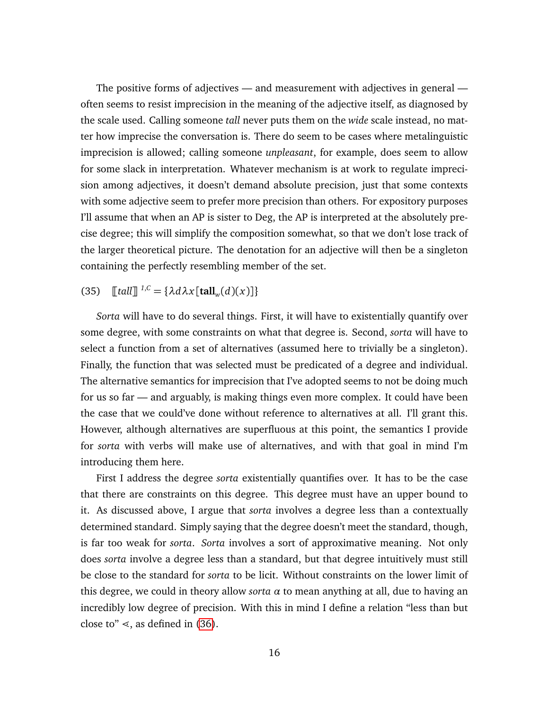The positive forms of adjectives — and measurement with adjectives in general often seems to resist imprecision in the meaning of the adjective itself, as diagnosed by the scale used. Calling someone *tall* never puts them on the *wide* scale instead, no matter how imprecise the conversation is. There do seem to be cases where metalinguistic imprecision is allowed; calling someone *unpleasant*, for example, does seem to allow for some slack in interpretation. Whatever mechanism is at work to regulate imprecision among adjectives, it doesn't demand absolute precision, just that some contexts with some adjective seem to prefer more precision than others. For expository purposes I'll assume that when an AP is sister to Deg, the AP is interpreted at the absolutely precise degree; this will simplify the composition somewhat, so that we don't lose track of the larger theoretical picture. The denotation for an adjective will then be a singleton containing the perfectly resembling member of the set.

## (35)  $\left[ \left[ \text{tall} \right] \right]^{1,C} = {\lambda d \lambda x [\text{tall}_{w}(d)(x)] }$

*Sorta* will have to do several things. First, it will have to existentially quantify over some degree, with some constraints on what that degree is. Second, *sorta* will have to select a function from a set of alternatives (assumed here to trivially be a singleton). Finally, the function that was selected must be predicated of a degree and individual. The alternative semantics for imprecision that I've adopted seems to not be doing much for us so far — and arguably, is making things even more complex. It could have been the case that we could've done without reference to alternatives at all. I'll grant this. However, although alternatives are superfluous at this point, the semantics I provide for *sorta* with verbs will make use of alternatives, and with that goal in mind I'm introducing them here.

First I address the degree *sorta* existentially quantifies over. It has to be the case that there are constraints on this degree. This degree must have an upper bound to it. As discussed above, I argue that *sorta* involves a degree less than a contextually determined standard. Simply saying that the degree doesn't meet the standard, though, is far too weak for *sorta*. *Sorta* involves a sort of approximative meaning. Not only does *sorta* involve a degree less than a standard, but that degree intuitively must still be close to the standard for *sorta* to be licit. Without constraints on the lower limit of this degree, we could in theory allow *sorta α* to mean anything at all, due to having an incredibly low degree of precision. With this in mind I define a relation "less than but close to"  $\le$ , as defined in [\(36\)](#page-16-1).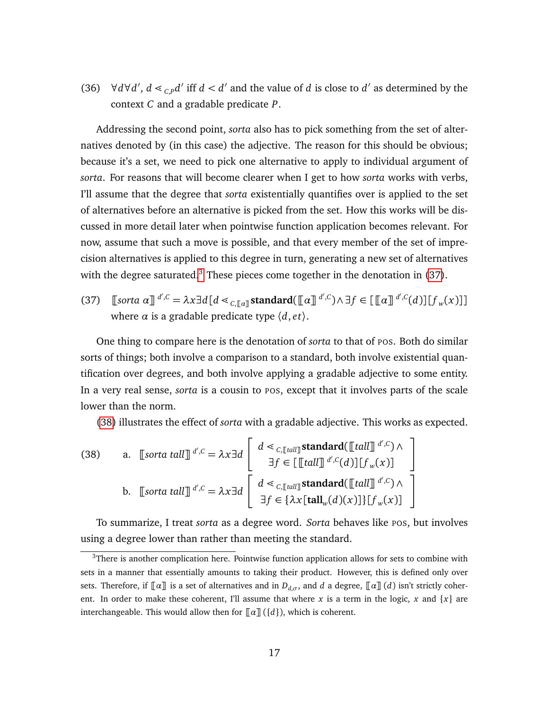<span id="page-16-1"></span>(36)  $\forall d \forall d', d \leq_{c,p} d'$  iff  $d < d'$  and the value of *d* is close to *d'* as determined by the context *C* and a gradable predicate *P*.

Addressing the second point, *sorta* also has to pick something from the set of alternatives denoted by (in this case) the adjective. The reason for this should be obvious; because it's a set, we need to pick one alternative to apply to individual argument of *sorta*. For reasons that will become clearer when I get to how *sorta* works with verbs, I'll assume that the degree that *sorta* existentially quantifies over is applied to the set of alternatives before an alternative is picked from the set. How this works will be discussed in more detail later when pointwise function application becomes relevant. For now, assume that such a move is possible, and that every member of the set of imprecision alternatives is applied to this degree in turn, generating a new set of alternatives with the degree saturated. $3$  These pieces come together in the denotation in [\(37\)](#page-16-2).

<span id="page-16-2"></span>(37)  $\left[\text{Sorta } \alpha\right]^{d',C} = \lambda x \exists d \left[d \leq_{C,\left[\left[\alpha\right]\right]} \alpha d' \leq C \right] \text{ standard} \left(\left[\left[\alpha\right]\right]^{d',C}\right) \wedge \exists f \in \left[\left[\left[\alpha\right]\right]^{d',C}(d)\right] \left[f_w(x)\right]\right]$ where  $\alpha$  is a gradable predicate type  $\langle d, et \rangle$ .

One thing to compare here is the denotation of *sorta* to that of POS. Both do similar sorts of things; both involve a comparison to a standard, both involve existential quantification over degrees, and both involve applying a gradable adjective to some entity. In a very real sense, *sorta* is a cousin to POS, except that it involves parts of the scale lower than the norm.

[\(38\)](#page-16-3) illustrates the effect of *sorta* with a gradable adjective. This works as expected.

<span id="page-16-3"></span>(38) a. [sorta tall]]<sup>d',c</sup> = 
$$
\lambda x \exists d \begin{bmatrix} d \prec_{C, [tal]]} \text{standard}([\llbracket tall]]^{d',c}) \wedge \\ \exists f \in [\llbracket tall \rrbracket^{d',c}(d)] [\llbracket f_w(x)] \end{bmatrix}
$$
  
b. [sorta tall]]<sup>d',c</sup> =  $\lambda x \exists d \begin{bmatrix} d \prec_{C, [tal]]} \text{standard}([\llbracket tall]]^{d',c}) \wedge \\ \exists f \in \{\lambda x [\text{tall}_w(d)(x)]\} [\llbracket f_w(x)] \end{bmatrix}$ 

To summarize, I treat *sorta* as a degree word. *Sorta* behaves like POS, but involves using a degree lower than rather than meeting the standard.

<span id="page-16-0"></span> $3$ There is another complication here. Pointwise function application allows for sets to combine with sets in a manner that essentially amounts to taking their product. However, this is defined only over sets. Therefore, if  $\llbracket \alpha \rrbracket$  is a set of alternatives and in  $D_{d,\sigma}$ , and *d* a degree,  $\llbracket \alpha \rrbracket$  (*d*) isn't strictly coherent. In order to make these coherent, I'll assume that where x is a term in the logic, x and  $\{x\}$  are interchangeable. This would allow then for  $\lceil \alpha \rceil$  ({*d*}), which is coherent.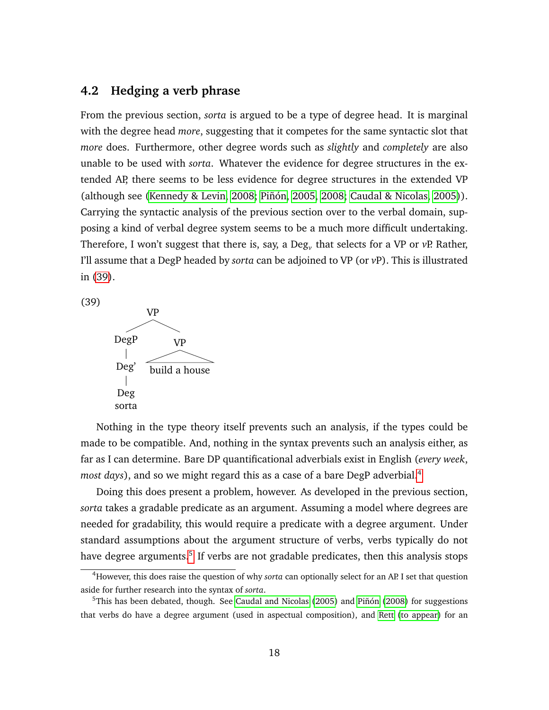#### **4.2 Hedging a verb phrase**

From the previous section, *sorta* is argued to be a type of degree head. It is marginal with the degree head *more*, suggesting that it competes for the same syntactic slot that *more* does. Furthermore, other degree words such as *slightly* and *completely* are also unable to be used with *sorta*. Whatever the evidence for degree structures in the extended AP, there seems to be less evidence for degree structures in the extended VP (although see [\(Kennedy & Levin, 2008;](#page-34-8) [Piñón, 2005,](#page-34-9) [2008;](#page-34-10) [Caudal & Nicolas, 2005\)](#page-33-13)). Carrying the syntactic analysis of the previous section over to the verbal domain, supposing a kind of verbal degree system seems to be a much more difficult undertaking. Therefore, I won't suggest that there is, say, a Deg*<sup>v</sup>* that selects for a VP or *v*P. Rather, I'll assume that a DegP headed by *sorta* can be adjoined to VP (or *v*P). This is illustrated in [\(39\)](#page-17-0).

<span id="page-17-0"></span>(39)



Nothing in the type theory itself prevents such an analysis, if the types could be made to be compatible. And, nothing in the syntax prevents such an analysis either, as far as I can determine. Bare DP quantificational adverbials exist in English (*every week*, *most days*), and so we might regard this as a case of a bare DegP adverbial.[4](#page-0-0)

Doing this does present a problem, however. As developed in the previous section, *sorta* takes a gradable predicate as an argument. Assuming a model where degrees are needed for gradability, this would require a predicate with a degree argument. Under standard assumptions about the argument structure of verbs, verbs typically do not have degree arguments.<sup>[5](#page-0-0)</sup> If verbs are not gradable predicates, then this analysis stops

<sup>4</sup>However, this does raise the question of why *sorta* can optionally select for an AP. I set that question aside for further research into the syntax of *sorta*.

<sup>5</sup>This has been debated, though. See [Caudal and Nicolas](#page-33-13) [\(2005\)](#page-33-13) and [Piñón](#page-34-10) [\(2008\)](#page-34-10) for suggestions that verbs do have a degree argument (used in aspectual composition), and [Rett](#page-34-11) [\(to appear\)](#page-34-11) for an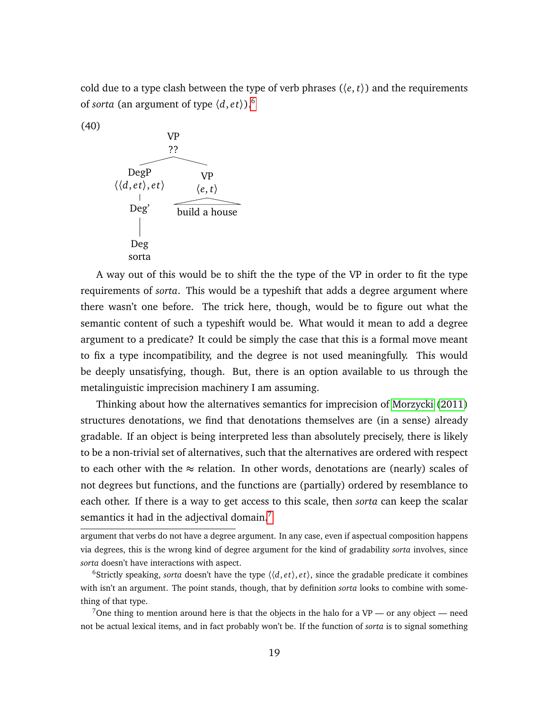cold due to a type clash between the type of verb phrases  $(\langle e, t \rangle)$  and the requirements of *sorta* (an argument of type  $\langle d, et \rangle$ ).<sup>[6](#page-0-0)</sup>



(40)

A way out of this would be to shift the the type of the VP in order to fit the type requirements of *sorta*. This would be a typeshift that adds a degree argument where there wasn't one before. The trick here, though, would be to figure out what the semantic content of such a typeshift would be. What would it mean to add a degree argument to a predicate? It could be simply the case that this is a formal move meant to fix a type incompatibility, and the degree is not used meaningfully. This would be deeply unsatisfying, though. But, there is an option available to us through the metalinguistic imprecision machinery I am assuming.

Thinking about how the alternatives semantics for imprecision of [Morzycki](#page-34-2) [\(2011\)](#page-34-2) structures denotations, we find that denotations themselves are (in a sense) already gradable. If an object is being interpreted less than absolutely precisely, there is likely to be a non-trivial set of alternatives, such that the alternatives are ordered with respect to each other with the  $\approx$  relation. In other words, denotations are (nearly) scales of not degrees but functions, and the functions are (partially) ordered by resemblance to each other. If there is a way to get access to this scale, then *sorta* can keep the scalar semantics it had in the adjectival domain. $<sup>7</sup>$  $<sup>7</sup>$  $<sup>7</sup>$ </sup>

argument that verbs do not have a degree argument. In any case, even if aspectual composition happens via degrees, this is the wrong kind of degree argument for the kind of gradability *sorta* involves, since *sorta* doesn't have interactions with aspect.

<sup>&</sup>lt;sup>6</sup>Strictly speaking, *sorta* doesn't have the type  $\langle \langle d, et \rangle, et \rangle$ , since the gradable predicate it combines with isn't an argument. The point stands, though, that by definition *sorta* looks to combine with something of that type.

<sup>&</sup>lt;sup>7</sup>One thing to mention around here is that the objects in the halo for a VP — or any object — need not be actual lexical items, and in fact probably won't be. If the function of *sorta* is to signal something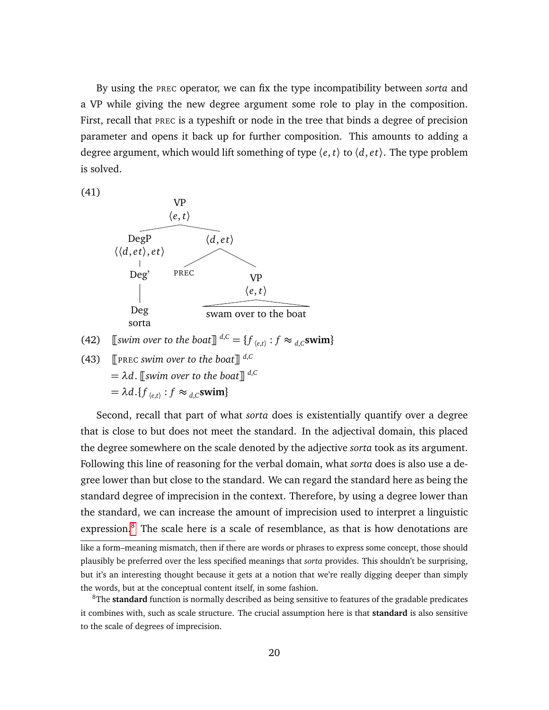By using the PREC operator, we can fix the type incompatibility between *sorta* and a VP while giving the new degree argument some role to play in the composition. First, recall that PREC is a typeshift or node in the tree that binds a degree of precision parameter and opens it back up for further composition. This amounts to adding a degree argument, which would lift something of type 〈*e*, *t*〉 to 〈*d*, *e t*〉. The type problem is solved.

(41)



(42)  $\left[\text{I} \text{swim over to the boat}\right]^{d,C} = \{f_{\langle e,t\rangle} : f \approx_{d,C} \text{swim}\}\$ 

(43)  $\left[\text{PREC swim over to the boat}\right]^{d,C}$  $= \lambda d$ . *[swim over to the boat]* <sup>*d,C*</sup>  $= \lambda d \cdot \{ f_{\langle e,t \rangle} : f \approx d \cdot c \}$ swim $\}$ 

Second, recall that part of what *sorta* does is existentially quantify over a degree that is close to but does not meet the standard. In the adjectival domain, this placed the degree somewhere on the scale denoted by the adjective *sorta* took as its argument. Following this line of reasoning for the verbal domain, what *sorta* does is also use a degree lower than but close to the standard. We can regard the standard here as being the standard degree of imprecision in the context. Therefore, by using a degree lower than the standard, we can increase the amount of imprecision used to interpret a linguistic expression.<sup>[8](#page-0-0)</sup> The scale here is a scale of resemblance, as that is how denotations are

like a form–meaning mismatch, then if there are words or phrases to express some concept, those should plausibly be preferred over the less specified meanings that *sorta* provides. This shouldn't be surprising, but it's an interesting thought because it gets at a notion that we're really digging deeper than simply the words, but at the conceptual content itself, in some fashion.

<sup>8</sup>The **standard** function is normally described as being sensitive to features of the gradable predicates it combines with, such as scale structure. The crucial assumption here is that **standard** is also sensitive to the scale of degrees of imprecision.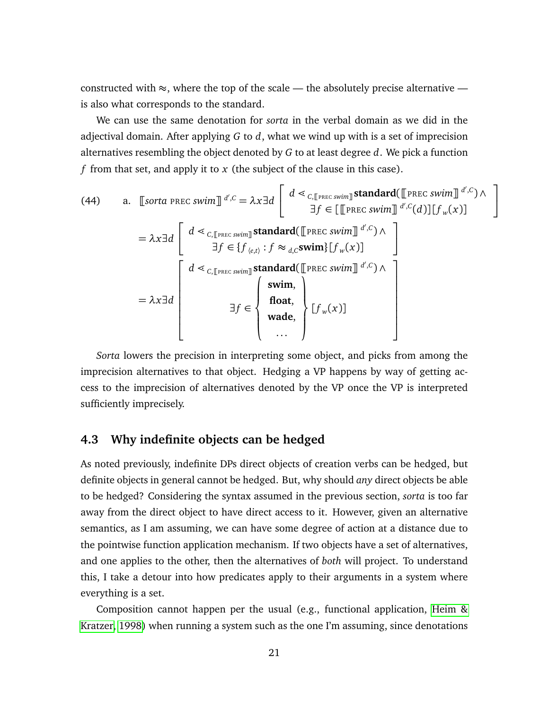constructed with  $\approx$ , where the top of the scale — the absolutely precise alternative is also what corresponds to the standard.

We can use the same denotation for *sorta* in the verbal domain as we did in the adjectival domain. After applying *G* to *d*, what we wind up with is a set of imprecision alternatives resembling the object denoted by *G* to at least degree *d*. We pick a function *f* from that set, and apply it to *x* (the subject of the clause in this case).

(44) a. [sorta PREc swim]] 
$$
d', c = \lambda x \exists d
$$
 
$$
\begin{bmatrix} d \leq c, [\text{PREc swim}] \text{ standard}([\text{PREc swim}] \ d', c) \land \exists f \in [\text{PREc swim}] \ d', c(d)] [f_w(x)] \\ \exists f \in \{f_{\langle e, t \rangle} : f \approx d, c \text{swim} \} [f_w(x)] \end{bmatrix}
$$

$$
= \lambda x \exists d
$$

$$
\begin{bmatrix} d \leq c, [\text{PREc swim}] \text{standard}([\text{PREc swim}] \ d', c) \land \\ d \leq c, [\text{PREc swim}] \text{standard}([\text{PREc swim}] \ d', c) \land \\ d \leq c, [\text{PREc swim}] \text{standard}([\text{PREc swim}] \ d', c) \land \\ \text{flowd} \\ \exists f \in \left\{ \begin{bmatrix} \text{swim,} \\ \text{float,} \\ \text{wade,} \end{bmatrix} [f_w(x)] \end{bmatrix} \right\} [f_w(x)]
$$

1  $\overline{1}$ 

*Sorta* lowers the precision in interpreting some object, and picks from among the imprecision alternatives to that object. Hedging a VP happens by way of getting access to the imprecision of alternatives denoted by the VP once the VP is interpreted sufficiently imprecisely.

#### <span id="page-20-0"></span>**4.3 Why indefinite objects can be hedged**

As noted previously, indefinite DPs direct objects of creation verbs can be hedged, but definite objects in general cannot be hedged. But, why should *any* direct objects be able to be hedged? Considering the syntax assumed in the previous section, *sorta* is too far away from the direct object to have direct access to it. However, given an alternative semantics, as I am assuming, we can have some degree of action at a distance due to the pointwise function application mechanism. If two objects have a set of alternatives, and one applies to the other, then the alternatives of *both* will project. To understand this, I take a detour into how predicates apply to their arguments in a system where everything is a set.

Composition cannot happen per the usual (e.g., functional application, [Heim &](#page-33-14) [Kratzer, 1998\)](#page-33-14) when running a system such as the one I'm assuming, since denotations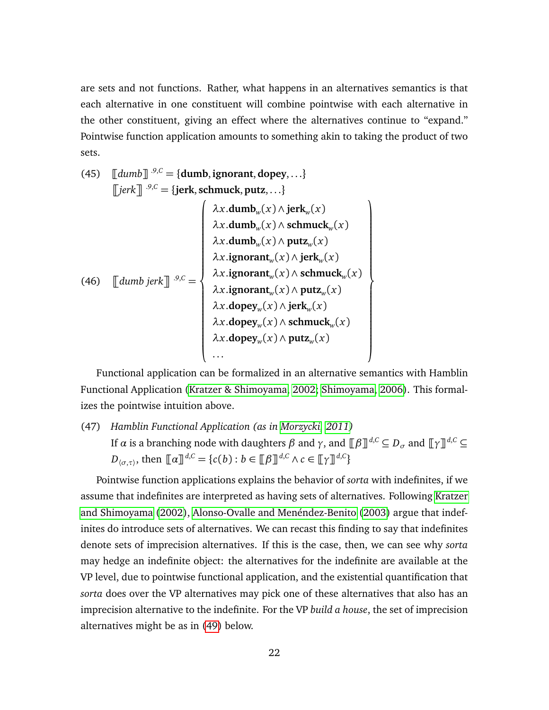are sets and not functions. Rather, what happens in an alternatives semantics is that each alternative in one constituent will combine pointwise with each alternative in the other constituent, giving an effect where the alternatives continue to "expand." Pointwise function application amounts to something akin to taking the product of two sets.

(45) 
$$
\begin{bmatrix}\n\text{Idumb} \end{bmatrix} \stackrel{\cdot 9, C}{\cdot} = \{\text{dumb}, \text{ignorant}, \text{dopey}, \ldots\}
$$
\n
$$
\begin{bmatrix}\n\text{jerk} \end{bmatrix} \stackrel{\cdot 9, C}{\cdot} = \{\text{jerk}, \text{schmuck}, \text{putz}, \ldots\}
$$
\n
$$
\begin{bmatrix}\n\lambda x. \text{dumb}_w(x) \land \text{jerk}_w(x) \\
\lambda x. \text{dumb}_w(x) \land \text{schmuck}_w(x) \\
\lambda x. \text{dumb}_w(x) \land \text{putz}_w(x) \\
\lambda x. \text{ignorant}_w(x) \land \text{jerk}_w(x) \\
\lambda x. \text{ignorant}_w(x) \land \text{schmuck}_w(x) \\
\lambda x. \text{ignorant}_w(x) \land \text{putz}_w(x) \\
\lambda x. \text{dopey}_w(x) \land \text{jerk}_w(x) \\
\lambda x. \text{dopey}_w(x) \land \text{schmuck}_w(x) \\
\lambda x. \text{dopey}_w(x) \land \text{pttz}_w(x) \\
\lambda x. \text{dopey}_w(x) \land \text{putz}_w(x) \\
\ldots\n\end{bmatrix}
$$

Functional application can be formalized in an alternative semantics with Hamblin Functional Application [\(Kratzer & Shimoyama, 2002;](#page-34-4) [Shimoyama, 2006\)](#page-35-5). This formalizes the pointwise intuition above.

(47) *Hamblin Functional Application (as in [Morzycki, 2011\)](#page-34-2) If α* is a branching node with daughters *β* and *γ*, and  $[$ *β* $]$ <sup>*d*,*C*</sup> ⊆ *D<sub><i>σ*</sub> and  $[$ *γ* $]$ <sup>*d*,*C*</sup> ⊆ *D*<sub>( $\sigma, \tau$ ), then  $\llbracket \alpha \rrbracket^{d,C} = \{c(b) : b \in \llbracket \beta \rrbracket^{d,C} \land c \in \llbracket \gamma \rrbracket^{d,C} \}$ </sub>

Pointwise function applications explains the behavior of *sorta* with indefinites, if we assume that indefinites are interpreted as having sets of alternatives. Following [Kratzer](#page-34-4) [and Shimoyama](#page-34-4) [\(2002\)](#page-34-4), [Alonso-Ovalle and Menéndez-Benito](#page-33-6) [\(2003\)](#page-33-6) argue that indefinites do introduce sets of alternatives. We can recast this finding to say that indefinites denote sets of imprecision alternatives. If this is the case, then, we can see why *sorta* may hedge an indefinite object: the alternatives for the indefinite are available at the VP level, due to pointwise functional application, and the existential quantification that *sorta* does over the VP alternatives may pick one of these alternatives that also has an imprecision alternative to the indefinite. For the VP *build a house*, the set of imprecision alternatives might be as in [\(49\)](#page-22-1) below.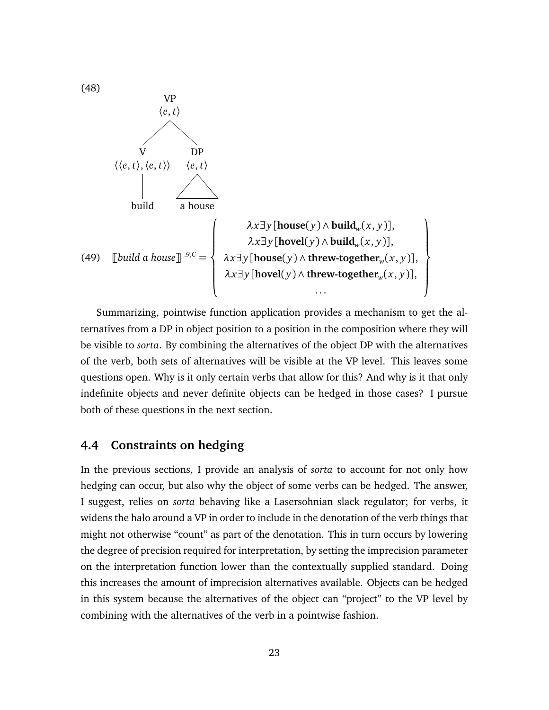

<span id="page-22-1"></span>Summarizing, pointwise function application provides a mechanism to get the alternatives from a DP in object position to a position in the composition where they will be visible to *sorta*. By combining the alternatives of the object DP with the alternatives of the verb, both sets of alternatives will be visible at the VP level. This leaves some questions open. Why is it only certain verbs that allow for this? And why is it that only indefinite objects and never definite objects can be hedged in those cases? I pursue both of these questions in the next section.

#### <span id="page-22-0"></span>**4.4 Constraints on hedging**

In the previous sections, I provide an analysis of *sorta* to account for not only how hedging can occur, but also why the object of some verbs can be hedged. The answer, I suggest, relies on *sorta* behaving like a Lasersohnian slack regulator; for verbs, it widens the halo around a VP in order to include in the denotation of the verb things that might not otherwise "count" as part of the denotation. This in turn occurs by lowering the degree of precision required for interpretation, by setting the imprecision parameter on the interpretation function lower than the contextually supplied standard. Doing this increases the amount of imprecision alternatives available. Objects can be hedged in this system because the alternatives of the object can "project" to the VP level by combining with the alternatives of the verb in a pointwise fashion.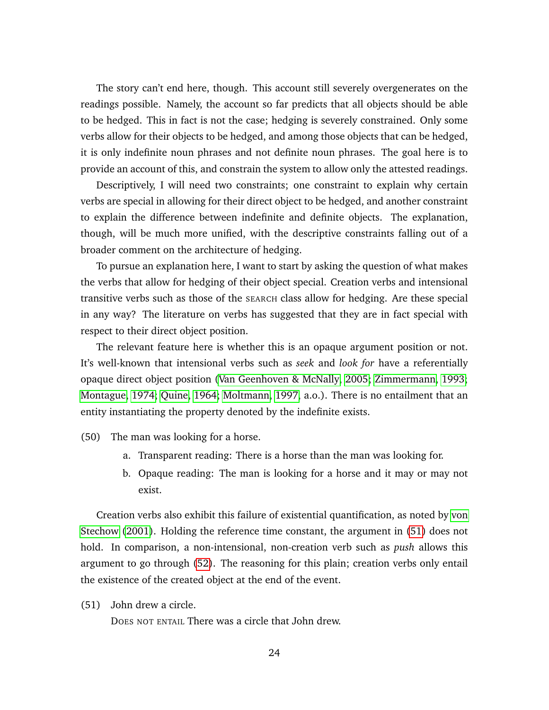The story can't end here, though. This account still severely overgenerates on the readings possible. Namely, the account so far predicts that all objects should be able to be hedged. This in fact is not the case; hedging is severely constrained. Only some verbs allow for their objects to be hedged, and among those objects that can be hedged, it is only indefinite noun phrases and not definite noun phrases. The goal here is to provide an account of this, and constrain the system to allow only the attested readings.

Descriptively, I will need two constraints; one constraint to explain why certain verbs are special in allowing for their direct object to be hedged, and another constraint to explain the difference between indefinite and definite objects. The explanation, though, will be much more unified, with the descriptive constraints falling out of a broader comment on the architecture of hedging.

To pursue an explanation here, I want to start by asking the question of what makes the verbs that allow for hedging of their object special. Creation verbs and intensional transitive verbs such as those of the SEARCH class allow for hedging. Are these special in any way? The literature on verbs has suggested that they are in fact special with respect to their direct object position.

The relevant feature here is whether this is an opaque argument position or not. It's well-known that intensional verbs such as *seek* and *look for* have a referentially opaque direct object position [\(Van Geenhoven & McNally, 2005;](#page-35-6) [Zimmermann, 1993;](#page-35-7) [Montague, 1974;](#page-34-12) [Quine, 1964;](#page-34-13) [Moltmann, 1997,](#page-34-14) a.o.). There is no entailment that an entity instantiating the property denoted by the indefinite exists.

(50) The man was looking for a horse.

- a. Transparent reading: There is a horse than the man was looking for.
- b. Opaque reading: The man is looking for a horse and it may or may not exist.

Creation verbs also exhibit this failure of existential quantification, as noted by [von](#page-35-8) [Stechow](#page-35-8) [\(2001\)](#page-35-8). Holding the reference time constant, the argument in [\(51\)](#page-23-0) does not hold. In comparison, a non-intensional, non-creation verb such as *push* allows this argument to go through [\(52\)](#page-24-0). The reasoning for this plain; creation verbs only entail the existence of the created object at the end of the event.

<span id="page-23-0"></span>(51) John drew a circle.

DOES NOT ENTAIL There was a circle that John drew.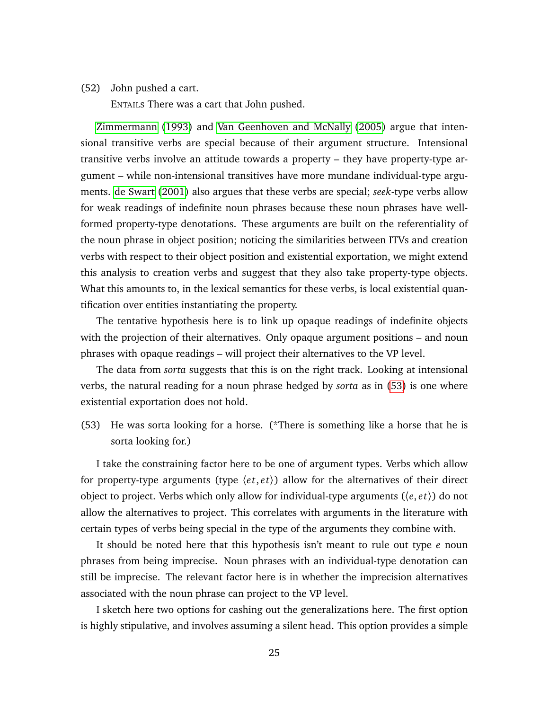#### <span id="page-24-0"></span>(52) John pushed a cart.

ENTAILS There was a cart that John pushed.

[Zimmermann](#page-35-7) [\(1993\)](#page-35-7) and [Van Geenhoven and McNally](#page-35-6) [\(2005\)](#page-35-6) argue that intensional transitive verbs are special because of their argument structure. Intensional transitive verbs involve an attitude towards a property – they have property-type argument – while non-intensional transitives have more mundane individual-type arguments. [de Swart](#page-33-15) [\(2001\)](#page-33-15) also argues that these verbs are special; *seek*-type verbs allow for weak readings of indefinite noun phrases because these noun phrases have wellformed property-type denotations. These arguments are built on the referentiality of the noun phrase in object position; noticing the similarities between ITVs and creation verbs with respect to their object position and existential exportation, we might extend this analysis to creation verbs and suggest that they also take property-type objects. What this amounts to, in the lexical semantics for these verbs, is local existential quantification over entities instantiating the property.

The tentative hypothesis here is to link up opaque readings of indefinite objects with the projection of their alternatives. Only opaque argument positions – and noun phrases with opaque readings – will project their alternatives to the VP level.

The data from *sorta* suggests that this is on the right track. Looking at intensional verbs, the natural reading for a noun phrase hedged by *sorta* as in [\(53\)](#page-24-1) is one where existential exportation does not hold.

<span id="page-24-1"></span>(53) He was sorta looking for a horse. (\*There is something like a horse that he is sorta looking for.)

I take the constraining factor here to be one of argument types. Verbs which allow for property-type arguments (type  $\langle et, et \rangle$ ) allow for the alternatives of their direct object to project. Verbs which only allow for individual-type arguments (〈*e*, *e t*〉) do not allow the alternatives to project. This correlates with arguments in the literature with certain types of verbs being special in the type of the arguments they combine with.

It should be noted here that this hypothesis isn't meant to rule out type *e* noun phrases from being imprecise. Noun phrases with an individual-type denotation can still be imprecise. The relevant factor here is in whether the imprecision alternatives associated with the noun phrase can project to the VP level.

I sketch here two options for cashing out the generalizations here. The first option is highly stipulative, and involves assuming a silent head. This option provides a simple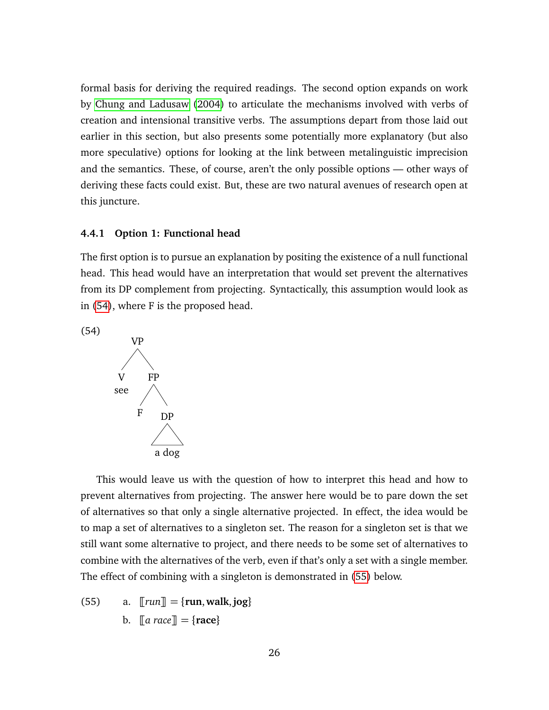formal basis for deriving the required readings. The second option expands on work by [Chung and Ladusaw](#page-33-16) [\(2004\)](#page-33-16) to articulate the mechanisms involved with verbs of creation and intensional transitive verbs. The assumptions depart from those laid out earlier in this section, but also presents some potentially more explanatory (but also more speculative) options for looking at the link between metalinguistic imprecision and the semantics. These, of course, aren't the only possible options — other ways of deriving these facts could exist. But, these are two natural avenues of research open at this juncture.

#### <span id="page-25-0"></span>**4.4.1 Option 1: Functional head**

The first option is to pursue an explanation by positing the existence of a null functional head. This head would have an interpretation that would set prevent the alternatives from its DP complement from projecting. Syntactically, this assumption would look as in [\(54\)](#page-25-1), where F is the proposed head.

<span id="page-25-1"></span>



This would leave us with the question of how to interpret this head and how to prevent alternatives from projecting. The answer here would be to pare down the set of alternatives so that only a single alternative projected. In effect, the idea would be to map a set of alternatives to a singleton set. The reason for a singleton set is that we still want some alternative to project, and there needs to be some set of alternatives to combine with the alternatives of the verb, even if that's only a set with a single member. The effect of combining with a singleton is demonstrated in [\(55\)](#page-25-2) below.

<span id="page-25-2"></span> $(55)$  a.  $\lceil \text{run} \rceil = \{ \text{run}, \text{walk}, \text{jog} \}$ b.  $\mathbb{T}$ *a race* $\mathbb{T} = \{ \text{race} \}$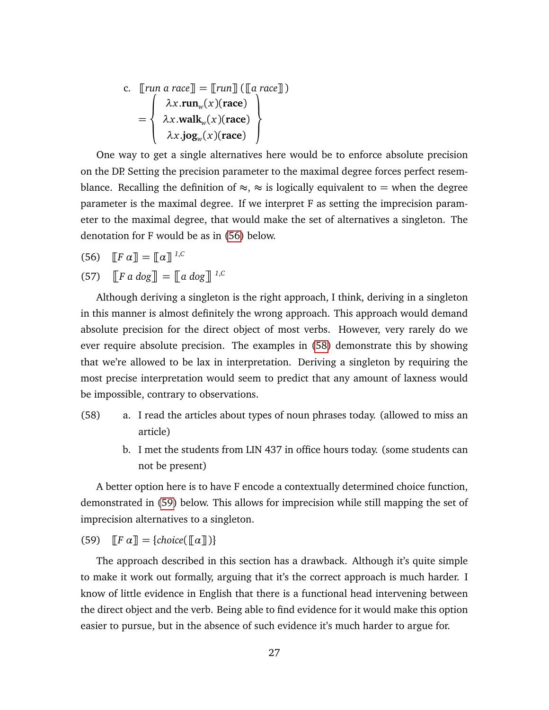c. 
$$
\llbracket run \text{ a race} \rrbracket = \llbracket run \rrbracket (\llbracket \text{ a race} \rrbracket) = \begin{cases} \lambda x. run_w(x) (\text{race}) \\ \lambda x. walk_w(x) (\text{race}) \\ \lambda x. jog_w(x) (\text{race}) \end{cases}
$$

One way to get a single alternatives here would be to enforce absolute precision on the DP. Setting the precision parameter to the maximal degree forces perfect resemblance. Recalling the definition of  $\approx$ ,  $\approx$  is logically equivalent to = when the degree parameter is the maximal degree. If we interpret F as setting the imprecision parameter to the maximal degree, that would make the set of alternatives a singleton. The denotation for F would be as in [\(56\)](#page-26-1) below.

- <span id="page-26-1"></span>(56)  $\mathbb{F}[F \alpha] = \mathbb{I}[\alpha]^{1,C}$
- (57)  $\left[\left[F\ a\ dog\right]\right] = \left[\left[a\ dog\right]\right]^{1,C}$

Although deriving a singleton is the right approach, I think, deriving in a singleton in this manner is almost definitely the wrong approach. This approach would demand absolute precision for the direct object of most verbs. However, very rarely do we ever require absolute precision. The examples in [\(58\)](#page-26-2) demonstrate this by showing that we're allowed to be lax in interpretation. Deriving a singleton by requiring the most precise interpretation would seem to predict that any amount of laxness would be impossible, contrary to observations.

- <span id="page-26-2"></span>(58) a. I read the articles about types of noun phrases today. (allowed to miss an article)
	- b. I met the students from LIN 437 in office hours today. (some students can not be present)

A better option here is to have F encode a contextually determined choice function, demonstrated in [\(59\)](#page-26-3) below. This allows for imprecision while still mapping the set of imprecision alternatives to a singleton.

<span id="page-26-3"></span>(59)  $\mathbb{F} \alpha \mathbb{I} = \{choice(\mathbb{F} \alpha \mathbb{I})\}$ 

<span id="page-26-0"></span>The approach described in this section has a drawback. Although it's quite simple to make it work out formally, arguing that it's the correct approach is much harder. I know of little evidence in English that there is a functional head intervening between the direct object and the verb. Being able to find evidence for it would make this option easier to pursue, but in the absence of such evidence it's much harder to argue for.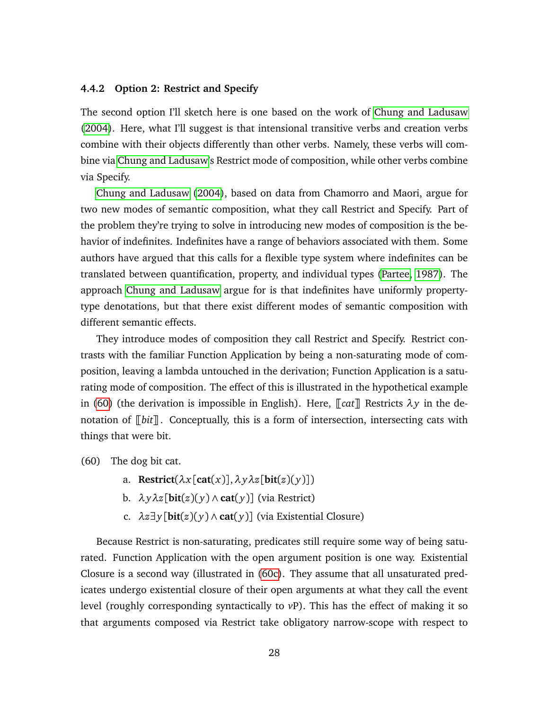#### **4.4.2 Option 2: Restrict and Specify**

The second option I'll sketch here is one based on the work of [Chung and Ladusaw](#page-33-16) [\(2004\)](#page-33-16). Here, what I'll suggest is that intensional transitive verbs and creation verbs combine with their objects differently than other verbs. Namely, these verbs will combine via [Chung and Ladusaw'](#page-33-16)s Restrict mode of composition, while other verbs combine via Specify.

[Chung and Ladusaw](#page-33-16) [\(2004\)](#page-33-16), based on data from Chamorro and Maori, argue for two new modes of semantic composition, what they call Restrict and Specify. Part of the problem they're trying to solve in introducing new modes of composition is the behavior of indefinites. Indefinites have a range of behaviors associated with them. Some authors have argued that this calls for a flexible type system where indefinites can be translated between quantification, property, and individual types [\(Partee, 1987\)](#page-34-15). The approach [Chung and Ladusaw](#page-33-16) argue for is that indefinites have uniformly propertytype denotations, but that there exist different modes of semantic composition with different semantic effects.

They introduce modes of composition they call Restrict and Specify. Restrict contrasts with the familiar Function Application by being a non-saturating mode of composition, leaving a lambda untouched in the derivation; Function Application is a saturating mode of composition. The effect of this is illustrated in the hypothetical example in [\(60\)](#page-27-0) (the derivation is impossible in English). Here,  $\lceil \cot \rceil$  Restricts  $\lambda y$  in the denotation of  $\lceil \frac{b}{t} \rceil$ . Conceptually, this is a form of intersection, intersecting cats with things that were bit.

<span id="page-27-0"></span>(60) The dog bit cat.

- a. **Restrict**( $\lambda x$ [**cat**( $x$ )], $\lambda y \lambda z$ [**bit**( $z$ )( $y$ )])
- b. *λyλz*[**bit**(*z*)( *y*) ∧ **cat**( *y*)] (via Restrict)
- c. *λz*∃*y*[**bit**(*z*)( *y*) ∧ **cat**( *y*)] (via Existential Closure)

<span id="page-27-1"></span>Because Restrict is non-saturating, predicates still require some way of being saturated. Function Application with the open argument position is one way. Existential Closure is a second way (illustrated in [\(60c\)](#page-27-1). They assume that all unsaturated predicates undergo existential closure of their open arguments at what they call the event level (roughly corresponding syntactically to *v*P). This has the effect of making it so that arguments composed via Restrict take obligatory narrow-scope with respect to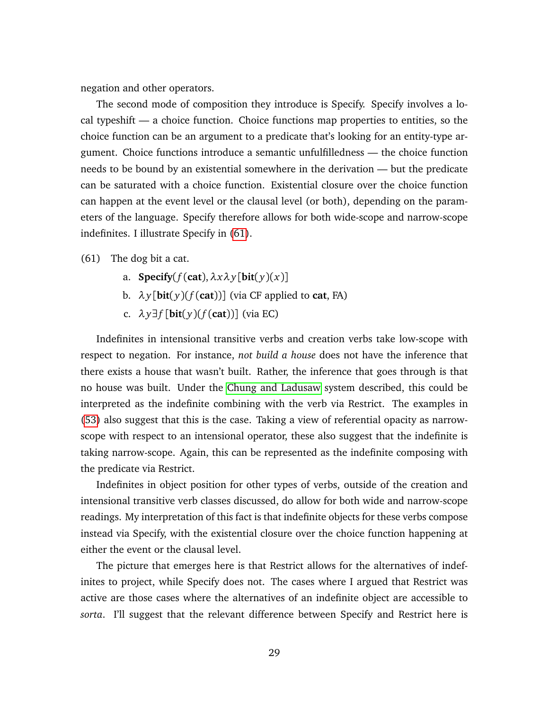negation and other operators.

The second mode of composition they introduce is Specify. Specify involves a local typeshift — a choice function. Choice functions map properties to entities, so the choice function can be an argument to a predicate that's looking for an entity-type argument. Choice functions introduce a semantic unfulfilledness — the choice function needs to be bound by an existential somewhere in the derivation — but the predicate can be saturated with a choice function. Existential closure over the choice function can happen at the event level or the clausal level (or both), depending on the parameters of the language. Specify therefore allows for both wide-scope and narrow-scope indefinites. I illustrate Specify in [\(61\)](#page-28-0).

<span id="page-28-0"></span>(61) The dog bit a cat.

- a. **Specify**( $f$ (**cat**), $\lambda x \lambda y$ [**bit**( $y$ )( $x$ )]
- b.  $\lambda y$ [bit(y)( $f$ (cat))] (via CF applied to cat, FA)
- c. *λy*∃*f* [**bit**( *y*)(*f* (**cat**))] (via EC)

Indefinites in intensional transitive verbs and creation verbs take low-scope with respect to negation. For instance, *not build a house* does not have the inference that there exists a house that wasn't built. Rather, the inference that goes through is that no house was built. Under the [Chung and Ladusaw](#page-33-16) system described, this could be interpreted as the indefinite combining with the verb via Restrict. The examples in [\(53\)](#page-24-1) also suggest that this is the case. Taking a view of referential opacity as narrowscope with respect to an intensional operator, these also suggest that the indefinite is taking narrow-scope. Again, this can be represented as the indefinite composing with the predicate via Restrict.

Indefinites in object position for other types of verbs, outside of the creation and intensional transitive verb classes discussed, do allow for both wide and narrow-scope readings. My interpretation of this fact is that indefinite objects for these verbs compose instead via Specify, with the existential closure over the choice function happening at either the event or the clausal level.

The picture that emerges here is that Restrict allows for the alternatives of indefinites to project, while Specify does not. The cases where I argued that Restrict was active are those cases where the alternatives of an indefinite object are accessible to *sorta*. I'll suggest that the relevant difference between Specify and Restrict here is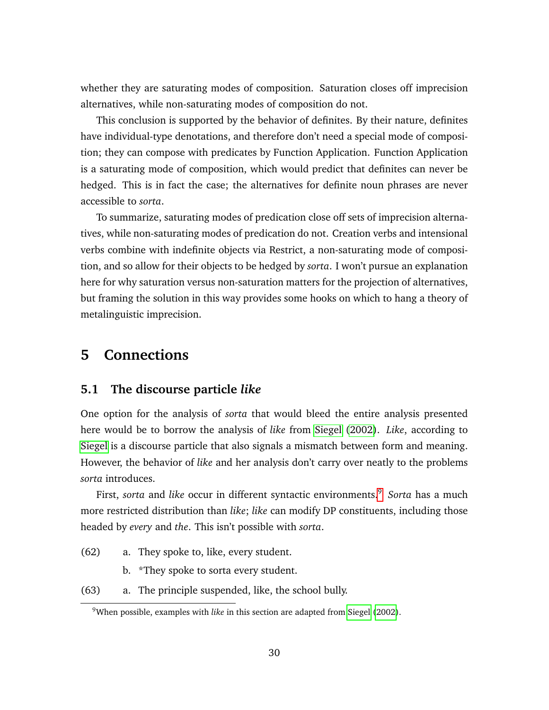whether they are saturating modes of composition. Saturation closes off imprecision alternatives, while non-saturating modes of composition do not.

This conclusion is supported by the behavior of definites. By their nature, definites have individual-type denotations, and therefore don't need a special mode of composition; they can compose with predicates by Function Application. Function Application is a saturating mode of composition, which would predict that definites can never be hedged. This is in fact the case; the alternatives for definite noun phrases are never accessible to *sorta*.

To summarize, saturating modes of predication close off sets of imprecision alternatives, while non-saturating modes of predication do not. Creation verbs and intensional verbs combine with indefinite objects via Restrict, a non-saturating mode of composition, and so allow for their objects to be hedged by *sorta*. I won't pursue an explanation here for why saturation versus non-saturation matters for the projection of alternatives, but framing the solution in this way provides some hooks on which to hang a theory of metalinguistic imprecision.

## <span id="page-29-0"></span>**5 Connections**

#### <span id="page-29-1"></span>**5.1 The discourse particle** *like*

One option for the analysis of *sorta* that would bleed the entire analysis presented here would be to borrow the analysis of *like* from [Siegel](#page-35-0) [\(2002\)](#page-35-0). *Like*, according to [Siegel](#page-35-0) is a discourse particle that also signals a mismatch between form and meaning. However, the behavior of *like* and her analysis don't carry over neatly to the problems *sorta* introduces.

First, *sorta* and *like* occur in different syntactic environments.<sup>[9](#page-0-0)</sup> Sorta has a much more restricted distribution than *like*; *like* can modify DP constituents, including those headed by *every* and *the*. This isn't possible with *sorta*.

- (62) a. They spoke to, like, every student.
	- b. \*They spoke to sorta every student.
- (63) a. The principle suspended, like, the school bully.

<sup>9</sup>When possible, examples with *like* in this section are adapted from [Siegel](#page-35-0) [\(2002\)](#page-35-0).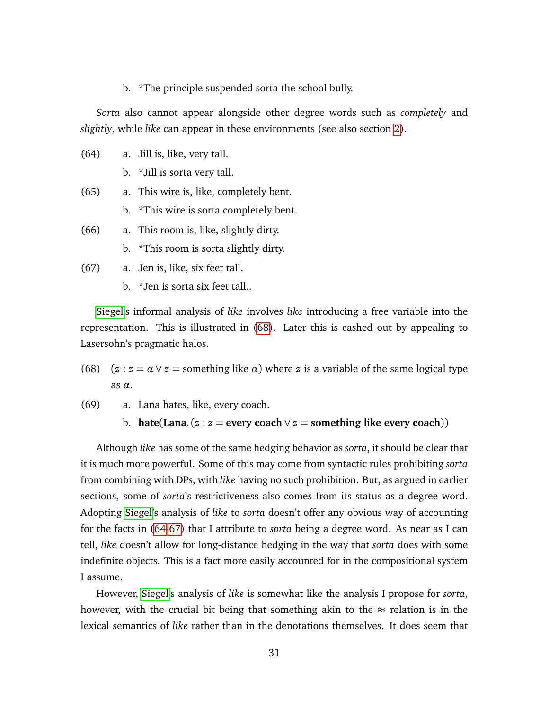b. \*The principle suspended sorta the school bully.

*Sorta* also cannot appear alongside other degree words such as *completely* and *slightly*, while *like* can appear in these environments (see also section [2\)](#page-2-0).

- <span id="page-30-1"></span>(64) a. Jill is, like, very tall.
	- b. \*Jill is sorta very tall.
- (65) a. This wire is, like, completely bent.
	- b. \*This wire is sorta completely bent.
- (66) a. This room is, like, slightly dirty.
	- b. \*This room is sorta slightly dirty.
- <span id="page-30-2"></span>(67) a. Jen is, like, six feet tall.
	- b. \*Jen is sorta six feet tall..

[Siegel'](#page-35-0)s informal analysis of *like* involves *like* introducing a free variable into the representation. This is illustrated in [\(68\)](#page-30-0). Later this is cashed out by appealing to Lasersohn's pragmatic halos.

- <span id="page-30-0"></span>(68)  $(z : z = \alpha \vee z =$  something like  $\alpha$ ) where *z* is a variable of the same logical type as *α*.
- (69) a. Lana hates, like, every coach.
	- b. **hate**(Lana,  $(z : z =$  every coach  $\vee z =$  something like every coach))

Although *like* has some of the same hedging behavior as *sorta*, it should be clear that it is much more powerful. Some of this may come from syntactic rules prohibiting *sorta* from combining with DPs, with *like* having no such prohibition. But, as argued in earlier sections, some of *sorta*'s restrictiveness also comes from its status as a degree word. Adopting [Siegel'](#page-35-0)s analysis of *like* to *sorta* doesn't offer any obvious way of accounting for the facts in [\(64-](#page-30-1)[67\)](#page-30-2) that I attribute to *sorta* being a degree word. As near as I can tell, *like* doesn't allow for long-distance hedging in the way that *sorta* does with some indefinite objects. This is a fact more easily accounted for in the compositional system I assume.

However, [Siegel'](#page-35-0)s analysis of *like* is somewhat like the analysis I propose for *sorta*, however, with the crucial bit being that something akin to the  $\approx$  relation is in the lexical semantics of *like* rather than in the denotations themselves. It does seem that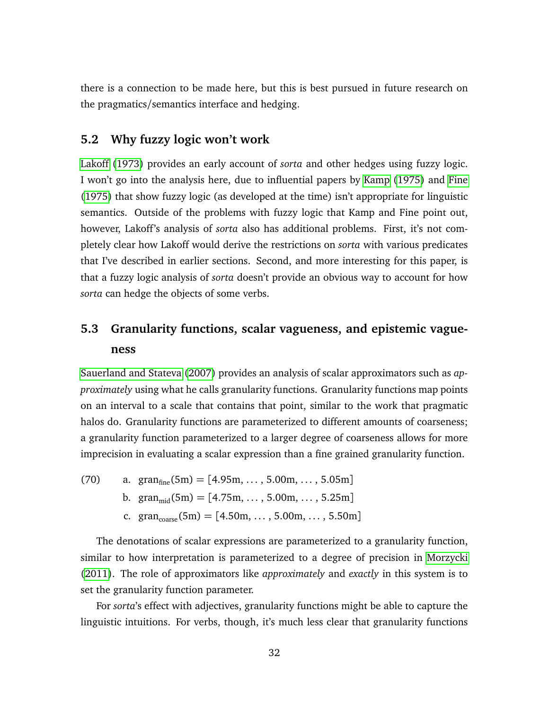there is a connection to be made here, but this is best pursued in future research on the pragmatics/semantics interface and hedging.

#### <span id="page-31-0"></span>**5.2 Why fuzzy logic won't work**

[Lakoff](#page-34-16) [\(1973\)](#page-34-16) provides an early account of *sorta* and other hedges using fuzzy logic. I won't go into the analysis here, due to influential papers by [Kamp](#page-34-6) [\(1975\)](#page-34-6) and [Fine](#page-33-17) [\(1975\)](#page-33-17) that show fuzzy logic (as developed at the time) isn't appropriate for linguistic semantics. Outside of the problems with fuzzy logic that Kamp and Fine point out, however, Lakoff's analysis of *sorta* also has additional problems. First, it's not completely clear how Lakoff would derive the restrictions on *sorta* with various predicates that I've described in earlier sections. Second, and more interesting for this paper, is that a fuzzy logic analysis of *sorta* doesn't provide an obvious way to account for how *sorta* can hedge the objects of some verbs.

## <span id="page-31-1"></span>**5.3 Granularity functions, scalar vagueness, and epistemic vagueness**

[Sauerland and Stateva](#page-35-9) [\(2007\)](#page-35-9) provides an analysis of scalar approximators such as *approximately* using what he calls granularity functions. Granularity functions map points on an interval to a scale that contains that point, similar to the work that pragmatic halos do. Granularity functions are parameterized to different amounts of coarseness; a granularity function parameterized to a larger degree of coarseness allows for more imprecision in evaluating a scalar expression than a fine grained granularity function.

(70) a.  $\text{gran}_{\text{fine}}(5\text{m}) = [4.95\text{m}, \dots, 5.00\text{m}, \dots, 5.05\text{m}]$ b. gran<sub>mid</sub>(5m) = [4.75m, ..., 5.00m, ..., 5.25m] c. gran<sub>coarse</sub>(5m) = [4.50m, ..., 5.00m, ..., 5.50m]

The denotations of scalar expressions are parameterized to a granularity function, similar to how interpretation is parameterized to a degree of precision in [Morzycki](#page-34-2) [\(2011\)](#page-34-2). The role of approximators like *approximately* and *exactly* in this system is to set the granularity function parameter.

For *sorta*'s effect with adjectives, granularity functions might be able to capture the linguistic intuitions. For verbs, though, it's much less clear that granularity functions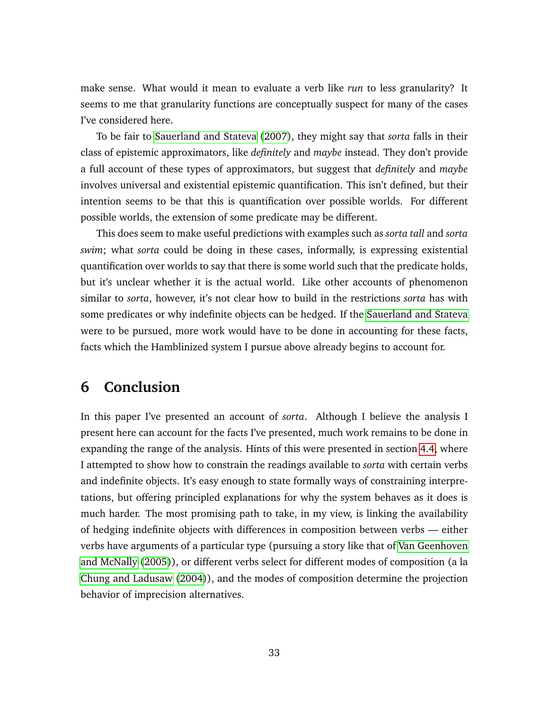make sense. What would it mean to evaluate a verb like *run* to less granularity? It seems to me that granularity functions are conceptually suspect for many of the cases I've considered here.

To be fair to [Sauerland and Stateva](#page-35-9) [\(2007\)](#page-35-9), they might say that *sorta* falls in their class of epistemic approximators, like *definitely* and *maybe* instead. They don't provide a full account of these types of approximators, but suggest that *definitely* and *maybe* involves universal and existential epistemic quantification. This isn't defined, but their intention seems to be that this is quantification over possible worlds. For different possible worlds, the extension of some predicate may be different.

This does seem to make useful predictions with examples such as *sorta tall* and *sorta swim*; what *sorta* could be doing in these cases, informally, is expressing existential quantification over worlds to say that there is some world such that the predicate holds, but it's unclear whether it is the actual world. Like other accounts of phenomenon similar to *sorta*, however, it's not clear how to build in the restrictions *sorta* has with some predicates or why indefinite objects can be hedged. If the [Sauerland and Stateva](#page-35-9) were to be pursued, more work would have to be done in accounting for these facts, facts which the Hamblinized system I pursue above already begins to account for.

## <span id="page-32-0"></span>**6 Conclusion**

In this paper I've presented an account of *sorta*. Although I believe the analysis I present here can account for the facts I've presented, much work remains to be done in expanding the range of the analysis. Hints of this were presented in section [4.4,](#page-22-0) where I attempted to show how to constrain the readings available to *sorta* with certain verbs and indefinite objects. It's easy enough to state formally ways of constraining interpretations, but offering principled explanations for why the system behaves as it does is much harder. The most promising path to take, in my view, is linking the availability of hedging indefinite objects with differences in composition between verbs — either verbs have arguments of a particular type (pursuing a story like that of [Van Geenhoven](#page-35-6) [and McNally](#page-35-6) [\(2005\)](#page-35-6)), or different verbs select for different modes of composition (a la [Chung and Ladusaw](#page-33-16) [\(2004\)](#page-33-16)), and the modes of composition determine the projection behavior of imprecision alternatives.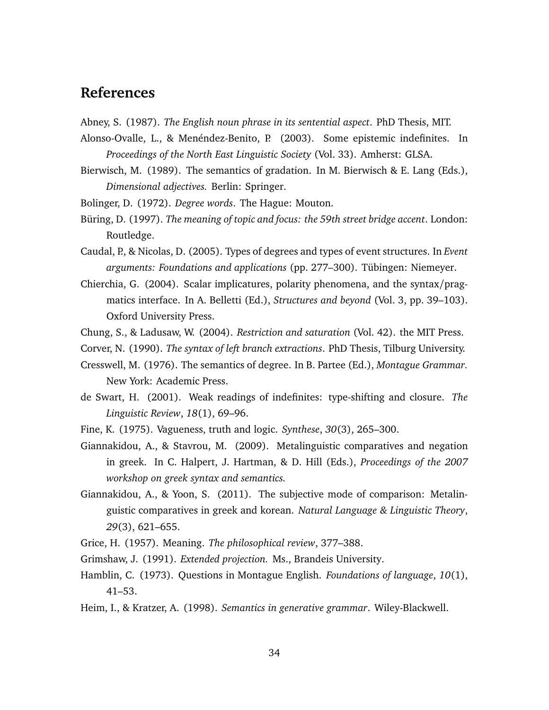## **References**

<span id="page-33-10"></span><span id="page-33-6"></span>Abney, S. (1987). *The English noun phrase in its sentential aspect*. PhD Thesis, MIT.

Alonso-Ovalle, L., & Menéndez-Benito, P. (2003). Some epistemic indefinites. In *Proceedings of the North East Linguistic Society* (Vol. 33). Amherst: GLSA.

- <span id="page-33-9"></span>Bierwisch, M. (1989). The semantics of gradation. In M. Bierwisch & E. Lang (Eds.), *Dimensional adjectives.* Berlin: Springer.
- <span id="page-33-5"></span><span id="page-33-2"></span>Bolinger, D. (1972). *Degree words*. The Hague: Mouton.
- Büring, D. (1997). *The meaning of topic and focus: the 59th street bridge accent*. London: Routledge.
- <span id="page-33-13"></span>Caudal, P., & Nicolas, D. (2005). Types of degrees and types of event structures. In *Event arguments: Foundations and applications* (pp. 277–300). Tübingen: Niemeyer.
- <span id="page-33-7"></span>Chierchia, G. (2004). Scalar implicatures, polarity phenomena, and the syntax/pragmatics interface. In A. Belletti (Ed.), *Structures and beyond* (Vol. 3, pp. 39–103). Oxford University Press.
- <span id="page-33-16"></span>Chung, S., & Ladusaw, W. (2004). *Restriction and saturation* (Vol. 42). the MIT Press.
- <span id="page-33-11"></span>Corver, N. (1990). *The syntax of left branch extractions*. PhD Thesis, Tilburg University.
- <span id="page-33-8"></span>Cresswell, M. (1976). The semantics of degree. In B. Partee (Ed.), *Montague Grammar.* New York: Academic Press.
- <span id="page-33-15"></span>de Swart, H. (2001). Weak readings of indefinites: type-shifting and closure. *The Linguistic Review*, *18*(1), 69–96.
- <span id="page-33-17"></span>Fine, K. (1975). Vagueness, truth and logic. *Synthese*, *30*(3), 265–300.
- <span id="page-33-3"></span>Giannakidou, A., & Stavrou, M. (2009). Metalinguistic comparatives and negation in greek. In C. Halpert, J. Hartman, & D. Hill (Eds.), *Proceedings of the 2007 workshop on greek syntax and semantics.*
- <span id="page-33-4"></span>Giannakidou, A., & Yoon, S. (2011). The subjective mode of comparison: Metalinguistic comparatives in greek and korean. *Natural Language & Linguistic Theory*, *29*(3), 621–655.
- <span id="page-33-12"></span><span id="page-33-0"></span>Grice, H. (1957). Meaning. *The philosophical review*, 377–388.
- <span id="page-33-1"></span>Grimshaw, J. (1991). *Extended projection.* Ms., Brandeis University.
- Hamblin, C. (1973). Questions in Montague English. *Foundations of language*, *10*(1), 41–53.
- <span id="page-33-14"></span>Heim, I., & Kratzer, A. (1998). *Semantics in generative grammar*. Wiley-Blackwell.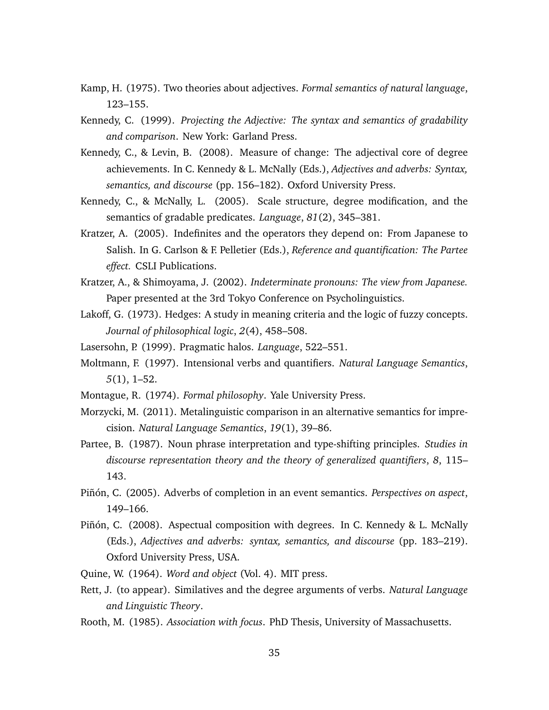- <span id="page-34-6"></span>Kamp, H. (1975). Two theories about adjectives. *Formal semantics of natural language*, 123–155.
- <span id="page-34-7"></span>Kennedy, C. (1999). *Projecting the Adjective: The syntax and semantics of gradability and comparison*. New York: Garland Press.
- <span id="page-34-8"></span>Kennedy, C., & Levin, B. (2008). Measure of change: The adjectival core of degree achievements. In C. Kennedy & L. McNally (Eds.), *Adjectives and adverbs: Syntax, semantics, and discourse* (pp. 156–182). Oxford University Press.
- <span id="page-34-3"></span>Kennedy, C., & McNally, L. (2005). Scale structure, degree modification, and the semantics of gradable predicates. *Language*, *81*(2), 345–381.
- <span id="page-34-5"></span>Kratzer, A. (2005). Indefinites and the operators they depend on: From Japanese to Salish. In G. Carlson & F. Pelletier (Eds.), *Reference and quantification: The Partee effect.* CSLI Publications.
- <span id="page-34-4"></span>Kratzer, A., & Shimoyama, J. (2002). *Indeterminate pronouns: The view from Japanese.* Paper presented at the 3rd Tokyo Conference on Psycholinguistics.
- <span id="page-34-16"></span>Lakoff, G. (1973). Hedges: A study in meaning criteria and the logic of fuzzy concepts. *Journal of philosophical logic*, *2*(4), 458–508.
- <span id="page-34-14"></span><span id="page-34-1"></span>Lasersohn, P. (1999). Pragmatic halos. *Language*, 522–551.
- Moltmann, F. (1997). Intensional verbs and quantifiers. *Natural Language Semantics*, *5*(1), 1–52.
- <span id="page-34-12"></span><span id="page-34-2"></span>Montague, R. (1974). *Formal philosophy*. Yale University Press.
- Morzycki, M. (2011). Metalinguistic comparison in an alternative semantics for imprecision. *Natural Language Semantics*, *19*(1), 39–86.
- <span id="page-34-15"></span>Partee, B. (1987). Noun phrase interpretation and type-shifting principles. *Studies in discourse representation theory and the theory of generalized quantifiers*, *8*, 115– 143.
- <span id="page-34-9"></span>Piñón, C. (2005). Adverbs of completion in an event semantics. *Perspectives on aspect*, 149–166.
- <span id="page-34-10"></span>Piñón, C. (2008). Aspectual composition with degrees. In C. Kennedy & L. McNally (Eds.), *Adjectives and adverbs: syntax, semantics, and discourse* (pp. 183–219). Oxford University Press, USA.
- <span id="page-34-13"></span>Quine, W. (1964). *Word and object* (Vol. 4). MIT press.
- <span id="page-34-11"></span>Rett, J. (to appear). Similatives and the degree arguments of verbs. *Natural Language and Linguistic Theory*.
- <span id="page-34-0"></span>Rooth, M. (1985). *Association with focus*. PhD Thesis, University of Massachusetts.